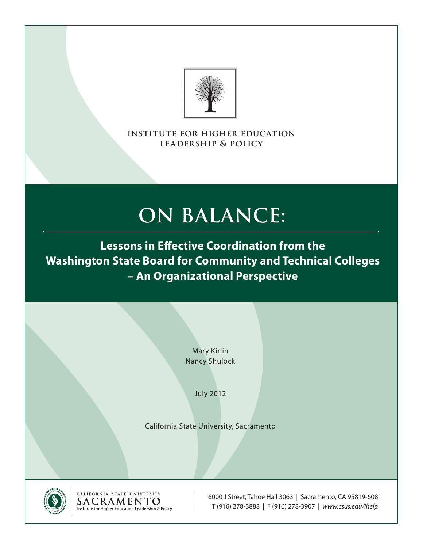

**institute for higher education leadership & policy**

# **On Balance:**

**Lessons in Effective Coordination from the Washington State Board for Community and Technical Colleges – An Organizational Perspective**

> Mary Kirlin Nancy Shulock

> > July 2012

California State University, Sacramento



CALIFORNIA STATE UNIVERSITY<br>SACRAMENTO Institute for Higher Education Leadership & Policy

6000 J Street, Tahoe Hall 3063 | Sacramento, CA 95819-6081 T (916) 278-3888 | F (916) 278-3907 | *www.csus.edu/ihelp*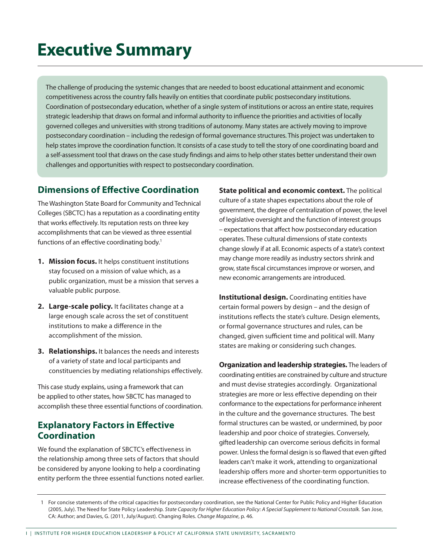# **Executive Summary**

The challenge of producing the systemic changes that are needed to boost educational attainment and economic competitiveness across the country falls heavily on entities that coordinate public postsecondary institutions. Coordination of postsecondary education, whether of a single system of institutions or across an entire state, requires strategic leadership that draws on formal and informal authority to influence the priorities and activities of locally governed colleges and universities with strong traditions of autonomy. Many states are actively moving to improve postsecondary coordination – including the redesign of formal governance structures. This project was undertaken to help states improve the coordination function. It consists of a case study to tell the story of one coordinating board and a self-assessment tool that draws on the case study findings and aims to help other states better understand their own challenges and opportunities with respect to postsecondary coordination.

## **Dimensions of Effective Coordination**

The Washington State Board for Community and Technical Colleges (SBCTC) has a reputation as a coordinating entity that works effectively. Its reputation rests on three key accomplishments that can be viewed as three essential functions of an effective coordinating body.<sup>1</sup>

- **1. Mission focus.** It helps constituent institutions stay focused on a mission of value which, as a public organization, must be a mission that serves a valuable public purpose.
- **2. Large-scale policy.** It facilitates change at a large enough scale across the set of constituent institutions to make a difference in the accomplishment of the mission.
- **3. Relationships.** It balances the needs and interests of a variety of state and local participants and constituencies by mediating relationships effectively.

This case study explains, using a framework that can be applied to other states, how SBCTC has managed to accomplish these three essential functions of coordination.

## **Explanatory Factors in Effective Coordination**

We found the explanation of SBCTC's effectiveness in the relationship among three sets of factors that should be considered by anyone looking to help a coordinating entity perform the three essential functions noted earlier.

**State political and economic context.** The political culture of a state shapes expectations about the role of government, the degree of centralization of power, the level of legislative oversight and the function of interest groups – expectations that affect how postsecondary education operates. These cultural dimensions of state contexts change slowly if at all. Economic aspects of a state's context may change more readily as industry sectors shrink and grow, state fiscal circumstances improve or worsen, and new economic arrangements are introduced.

**Institutional design.** Coordinating entities have certain formal powers by design – and the design of institutions reflects the state's culture. Design elements, or formal governance structures and rules, can be changed, given sufficient time and political will. Many states are making or considering such changes.

**Organization and leadership strategies.** The leaders of coordinating entities are constrained by culture and structure and must devise strategies accordingly. Organizational strategies are more or less effective depending on their conformance to the expectations for performance inherent in the culture and the governance structures. The best formal structures can be wasted, or undermined, by poor leadership and poor choice of strategies. Conversely, gifted leadership can overcome serious deficits in formal power. Unless the formal design is so flawed that even gifted leaders can't make it work, attending to organizational leadership offers more and shorter-term opportunities to increase effectiveness of the coordinating function.

<sup>1</sup> For concise statements of the critical capacities for postsecondary coordination, see the National Center for Public Policy and Higher Education (2005, July). The Need for State Policy Leadership. *State Capacity for Higher Education Policy: A Special Supplement to National Crosstalk.* San Jose, CA: Author; and Davies, G. (2011, July/August). Changing Roles. *Change Magazine*, p. 46.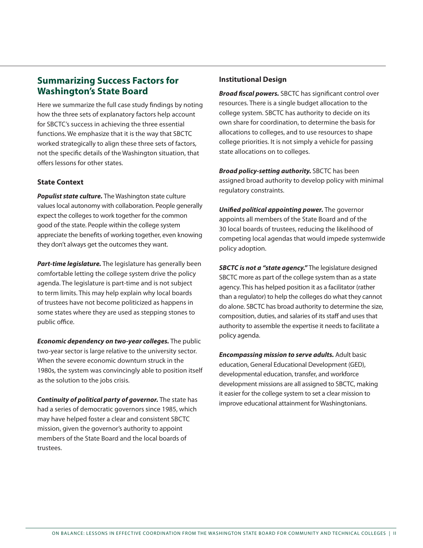### **Summarizing Success Factors for Washington's State Board**

Here we summarize the full case study findings by noting how the three sets of explanatory factors help account for SBCTC's success in achieving the three essential functions. We emphasize that it is the way that SBCTC worked strategically to align these three sets of factors, not the specific details of the Washington situation, that offers lessons for other states.

#### **State Context**

*Populist state culture.* The Washington state culture values local autonomy with collaboration. People generally expect the colleges to work together for the common good of the state. People within the college system appreciate the benefits of working together, even knowing they don't always get the outcomes they want.

*Part-time legislature.* The legislature has generally been comfortable letting the college system drive the policy agenda. The legislature is part-time and is not subject to term limits. This may help explain why local boards of trustees have not become politicized as happens in some states where they are used as stepping stones to public office.

*Economic dependency on two-year colleges.* The public two-year sector is large relative to the university sector. When the severe economic downturn struck in the 1980s, the system was convincingly able to position itself as the solution to the jobs crisis.

*Continuity of political party of governor.* The state has had a series of democratic governors since 1985, which may have helped foster a clear and consistent SBCTC mission, given the governor's authority to appoint members of the State Board and the local boards of trustees.

#### **Institutional Design**

*Broad fiscal powers.* SBCTC has significant control over resources. There is a single budget allocation to the college system. SBCTC has authority to decide on its own share for coordination, to determine the basis for allocations to colleges, and to use resources to shape college priorities. It is not simply a vehicle for passing state allocations on to colleges.

*Broad policy-setting authority.* SBCTC has been assigned broad authority to develop policy with minimal regulatory constraints.

*Unified political appointing power.* The governor appoints all members of the State Board and of the 30 local boards of trustees, reducing the likelihood of competing local agendas that would impede systemwide policy adoption.

*SBCTC is not a "state agency."* The legislature designed SBCTC more as part of the college system than as a state agency. This has helped position it as a facilitator (rather than a regulator) to help the colleges do what they cannot do alone. SBCTC has broad authority to determine the size, composition, duties, and salaries of its staff and uses that authority to assemble the expertise it needs to facilitate a policy agenda.

*Encompassing mission to serve adults.* Adult basic education, General Educational Development (GED), developmental education, transfer, and workforce development missions are all assigned to SBCTC, making it easier for the college system to set a clear mission to improve educational attainment for Washingtonians.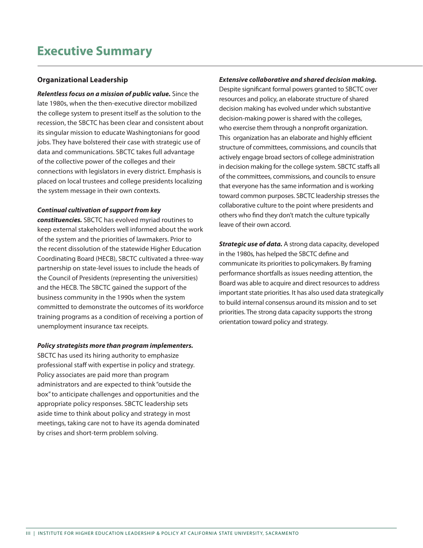#### **Organizational Leadership**

*Relentless focus on a mission of public value.* Since the late 1980s, when the then-executive director mobilized the college system to present itself as the solution to the recession, the SBCTC has been clear and consistent about its singular mission to educate Washingtonians for good jobs. They have bolstered their case with strategic use of data and communications. SBCTC takes full advantage of the collective power of the colleges and their connections with legislators in every district. Emphasis is placed on local trustees and college presidents localizing the system message in their own contexts.

#### *Continual cultivation of support from key*

*constituencies.* SBCTC has evolved myriad routines to keep external stakeholders well informed about the work of the system and the priorities of lawmakers. Prior to the recent dissolution of the statewide Higher Education Coordinating Board (HECB), SBCTC cultivated a three-way partnership on state-level issues to include the heads of the Council of Presidents (representing the universities) and the HECB. The SBCTC gained the support of the business community in the 1990s when the system committed to demonstrate the outcomes of its workforce training programs as a condition of receiving a portion of unemployment insurance tax receipts.

#### *Policy strategists more than program implementers.*

SBCTC has used its hiring authority to emphasize professional staff with expertise in policy and strategy. Policy associates are paid more than program administrators and are expected to think "outside the box" to anticipate challenges and opportunities and the appropriate policy responses. SBCTC leadership sets aside time to think about policy and strategy in most meetings, taking care not to have its agenda dominated by crises and short-term problem solving.

#### *Extensive collaborative and shared decision making.*

Despite significant formal powers granted to SBCTC over resources and policy, an elaborate structure of shared decision making has evolved under which substantive decision-making power is shared with the colleges, who exercise them through a nonprofit organization. This organization has an elaborate and highly efficient structure of committees, commissions, and councils that actively engage broad sectors of college administration in decision making for the college system. SBCTC staffs all of the committees, commissions, and councils to ensure that everyone has the same information and is working toward common purposes. SBCTC leadership stresses the collaborative culture to the point where presidents and others who find they don't match the culture typically leave of their own accord.

*Strategic use of data.* A strong data capacity, developed in the 1980s, has helped the SBCTC define and communicate its priorities to policymakers. By framing performance shortfalls as issues needing attention, the Board was able to acquire and direct resources to address important state priorities. It has also used data strategically to build internal consensus around its mission and to set priorities. The strong data capacity supports the strong orientation toward policy and strategy.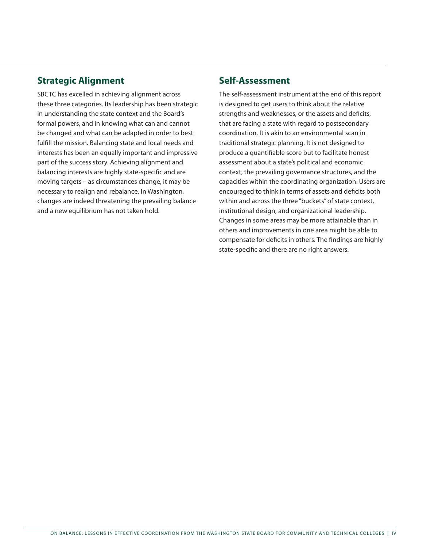## **Strategic Alignment**

SBCTC has excelled in achieving alignment across these three categories. Its leadership has been strategic in understanding the state context and the Board's formal powers, and in knowing what can and cannot be changed and what can be adapted in order to best fulfill the mission. Balancing state and local needs and interests has been an equally important and impressive part of the success story. Achieving alignment and balancing interests are highly state-specific and are moving targets – as circumstances change, it may be necessary to realign and rebalance. In Washington, changes are indeed threatening the prevailing balance and a new equilibrium has not taken hold.

#### **Self-Assessment**

The self-assessment instrument at the end of this report is designed to get users to think about the relative strengths and weaknesses, or the assets and deficits, that are facing a state with regard to postsecondary coordination. It is akin to an environmental scan in traditional strategic planning. It is not designed to produce a quantifiable score but to facilitate honest assessment about a state's political and economic context, the prevailing governance structures, and the capacities within the coordinating organization. Users are encouraged to think in terms of assets and deficits both within and across the three "buckets" of state context, institutional design, and organizational leadership. Changes in some areas may be more attainable than in others and improvements in one area might be able to compensate for deficits in others. The findings are highly state-specific and there are no right answers.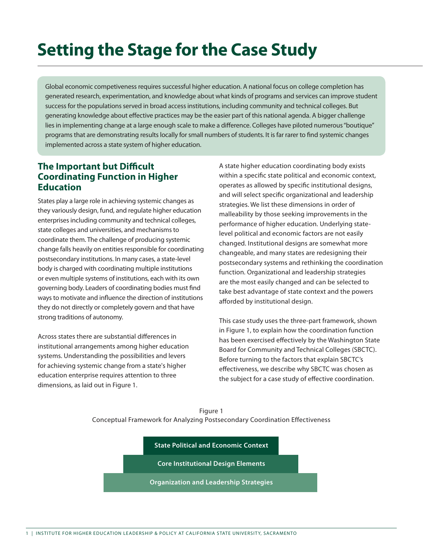# **Setting the Stage for the Case Study**

Global economic competiveness requires successful higher education. A national focus on college completion has generated research, experimentation, and knowledge about what kinds of programs and services can improve student success for the populations served in broad access institutions, including community and technical colleges. But generating knowledge about effective practices may be the easier part of this national agenda. A bigger challenge lies in implementing change at a large enough scale to make a difference. Colleges have piloted numerous "boutique" programs that are demonstrating results locally for small numbers of students. It is far rarer to find systemic changes implemented across a state system of higher education.

### **The Important but Difficult Coordinating Function in Higher Education**

States play a large role in achieving systemic changes as they variously design, fund, and regulate higher education enterprises including community and technical colleges, state colleges and universities, and mechanisms to coordinate them. The challenge of producing systemic change falls heavily on entities responsible for coordinating postsecondary institutions. In many cases, a state-level body is charged with coordinating multiple institutions or even multiple systems of institutions, each with its own governing body. Leaders of coordinating bodies must find ways to motivate and influence the direction of institutions they do not directly or completely govern and that have strong traditions of autonomy.

Across states there are substantial differences in institutional arrangements among higher education systems. Understanding the possibilities and levers for achieving systemic change from a state's higher education enterprise requires attention to three dimensions, as laid out in Figure 1.

A state higher education coordinating body exists within a specific state political and economic context, operates as allowed by specific institutional designs, and will select specific organizational and leadership strategies. We list these dimensions in order of malleability by those seeking improvements in the performance of higher education. Underlying statelevel political and economic factors are not easily changed. Institutional designs are somewhat more changeable, and many states are redesigning their postsecondary systems and rethinking the coordination function. Organizational and leadership strategies are the most easily changed and can be selected to take best advantage of state context and the powers afforded by institutional design.

This case study uses the three-part framework, shown in Figure 1, to explain how the coordination function has been exercised effectively by the Washington State Board for Community and Technical Colleges (SBCTC). Before turning to the factors that explain SBCTC's effectiveness, we describe why SBCTC was chosen as the subject for a case study of effective coordination.

Figure 1 Conceptual Framework for Analyzing Postsecondary Coordination Effectiveness

**State Political and Economic Context**

**Core Institutional Design Elements**

**Organization and Leadership Strategies**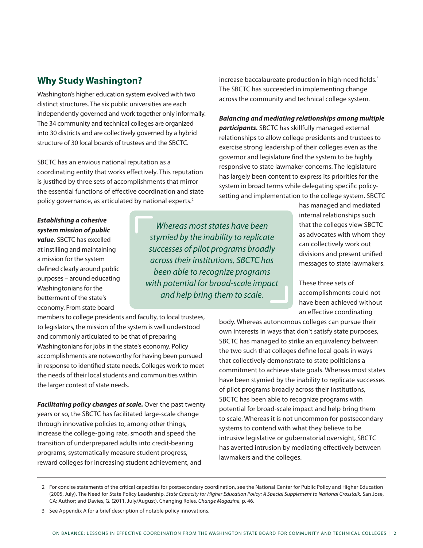## **Why Study Washington?**

Washington's higher education system evolved with two distinct structures. The six public universities are each independently governed and work together only informally. The 34 community and technical colleges are organized into 30 districts and are collectively governed by a hybrid structure of 30 local boards of trustees and the SBCTC.

SBCTC has an envious national reputation as a coordinating entity that works effectively. This reputation is justified by three sets of accomplishments that mirror the essential functions of effective coordination and state policy governance, as articulated by national experts.<sup>2</sup>

*Establishing a cohesive system mission of public value.* SBCTC has excelled at instilling and maintaining a mission for the system defined clearly around public purposes – around educating Washingtonians for the betterment of the state's economy. From state board

*Whereas most states have been stymied by the inability to replicate successes of pilot programs broadly across their institutions, SBCTC has been able to recognize programs with potential for broad-scale impact and help bring them to scale.*

members to college presidents and faculty, to local trustees, to legislators, the mission of the system is well understood and commonly articulated to be that of preparing Washingtonians for jobs in the state's economy. Policy accomplishments are noteworthy for having been pursued in response to identified state needs. Colleges work to meet the needs of their local students and communities within the larger context of state needs.

*Facilitating policy changes at scale.* Over the past twenty years or so, the SBCTC has facilitated large-scale change through innovative policies to, among other things, increase the college-going rate, smooth and speed the transition of underprepared adults into credit-bearing programs, systematically measure student progress, reward colleges for increasing student achievement, and

increase baccalaureate production in high-need fields.<sup>3</sup> The SBCTC has succeeded in implementing change across the community and technical college system.

*Balancing and mediating relationships among multiple participants.* SBCTC has skillfully managed external relationships to allow college presidents and trustees to exercise strong leadership of their colleges even as the governor and legislature find the system to be highly responsive to state lawmaker concerns. The legislature has largely been content to express its priorities for the system in broad terms while delegating specific policysetting and implementation to the college system. SBCTC

> has managed and mediated internal relationships such that the colleges view SBCTC as advocates with whom they can collectively work out divisions and present unified messages to state lawmakers.

These three sets of accomplishments could not have been achieved without an effective coordinating

body. Whereas autonomous colleges can pursue their own interests in ways that don't satisfy state purposes, SBCTC has managed to strike an equivalency between the two such that colleges define local goals in ways that collectively demonstrate to state politicians a commitment to achieve state goals. Whereas most states have been stymied by the inability to replicate successes of pilot programs broadly across their institutions, SBCTC has been able to recognize programs with potential for broad-scale impact and help bring them to scale. Whereas it is not uncommon for postsecondary systems to contend with what they believe to be intrusive legislative or gubernatorial oversight, SBCTC has averted intrusion by mediating effectively between lawmakers and the colleges.

<sup>2</sup> For concise statements of the critical capacities for postsecondary coordination, see the National Center for Public Policy and Higher Education (2005, July). The Need for State Policy Leadership. *State Capacity for Higher Education Policy: A Special Supplement to National Crosstalk.* San Jose, CA: Author; and Davies, G. (2011, July/August). Changing Roles. *Change Magazine*, p. 46.

<sup>3</sup> See Appendix A for a brief description of notable policy innovations.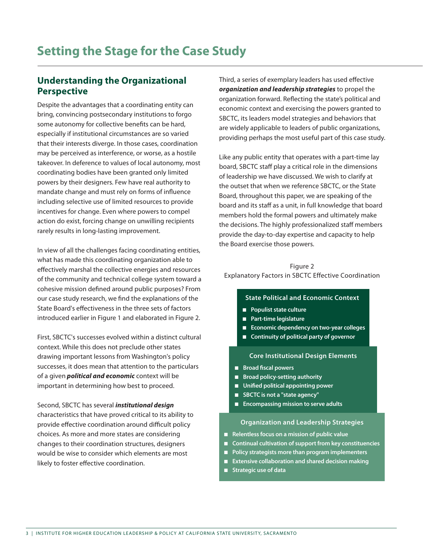## **Understanding the Organizational Perspective**

Despite the advantages that a coordinating entity can bring, convincing postsecondary institutions to forgo some autonomy for collective benefits can be hard, especially if institutional circumstances are so varied that their interests diverge. In those cases, coordination may be perceived as interference, or worse, as a hostile takeover. In deference to values of local autonomy, most coordinating bodies have been granted only limited powers by their designers. Few have real authority to mandate change and must rely on forms of influence including selective use of limited resources to provide incentives for change. Even where powers to compel action do exist, forcing change on unwilling recipients rarely results in long-lasting improvement.

In view of all the challenges facing coordinating entities, what has made this coordinating organization able to effectively marshal the collective energies and resources of the community and technical college system toward a cohesive mission defined around public purposes? From our case study research, we find the explanations of the State Board's effectiveness in the three sets of factors introduced earlier in Figure 1 and elaborated in Figure 2.

First, SBCTC's successes evolved within a distinct cultural context. While this does not preclude other states drawing important lessons from Washington's policy successes, it does mean that attention to the particulars of a given *political and economic* context will be important in determining how best to proceed.

Second, SBCTC has several *institutional design*  characteristics that have proved critical to its ability to provide effective coordination around difficult policy choices. As more and more states are considering changes to their coordination structures, designers would be wise to consider which elements are most likely to foster effective coordination.

Third, a series of exemplary leaders has used effective *organization and leadership strategies* to propel the organization forward. Reflecting the state's political and economic context and exercising the powers granted to SBCTC, its leaders model strategies and behaviors that are widely applicable to leaders of public organizations, providing perhaps the most useful part of this case study.

Like any public entity that operates with a part-time lay board, SBCTC staff play a critical role in the dimensions of leadership we have discussed. We wish to clarify at the outset that when we reference SBCTC, or the State Board, throughout this paper, we are speaking of the board and its staff as a unit, in full knowledge that board members hold the formal powers and ultimately make the decisions. The highly professionalized staff members provide the day-to-day expertise and capacity to help the Board exercise those powers.

#### Figure 2 Explanatory Factors in SBCTC Effective Coordination

#### **State Political and Economic Context**

- **Populist state culture**
- **Part-time legislature**
- **Economic dependency on two-year colleges**
- **Continuity of political party of governor**

#### **Core Institutional Design Elements**

- **Broad fiscal powers**
- **Broad policy-setting authority**
- Unified political appointing power
- **SBCTC is not a "state agency"**
- **Encompassing mission to serve adults**

#### **Organization and Leadership Strategies**

- **Relentless focus on a mission of public value**
- **Continual cultivation of support from key constituencies**
- **Policy strategists more than program implementers**
- **Extensive collaboration and shared decision making**
- **Strategic use of data**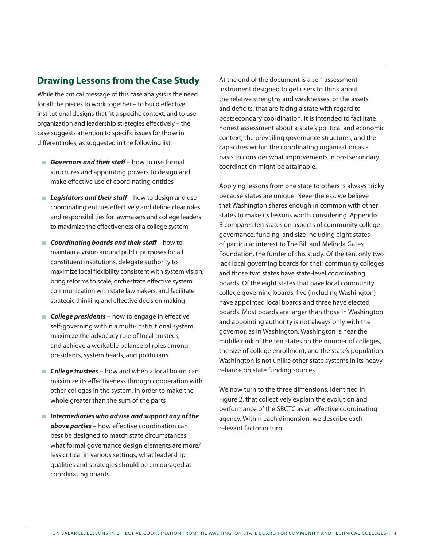#### **Drawing Lessons from the Case Study**

While the critical message of this case analysis is the need for all the pieces to work together – to build effective institutional designs that fit a specific context, and to use organization and leadership strategies effectively – the case suggests attention to specific issues for those in different roles, as suggested in the following list:

- *Governors and their staff* how to use formal structures and appointing powers to design and make effective use of coordinating entities
- Legislators and their staff how to design and use coordinating entities effectively and define clear roles and responsibilities for lawmakers and college leaders to maximize the effectiveness of a college system
- *Coordinating boards and their staff* how to maintain a vision around public purposes for all constituent institutions, delegate authority to maximize local flexibility consistent with system vision, bring reforms to scale, orchestrate effective system communication with state lawmakers, and facilitate strategic thinking and effective decision making
- **College presidents** how to engage in effective self-governing within a multi-institutional system, maximize the advocacy role of local trustees, and achieve a workable balance of roles among presidents, system heads, and politicians
- **College trustees** how and when a local board can maximize its effectiveness through cooperation with other colleges in the system, in order to make the whole greater than the sum of the parts
- *Intermediaries who advise and support any of the above parties* – how effective coordination can best be designed to match state circumstances, what formal governance design elements are more/ less critical in various settings, what leadership qualities and strategies should be encouraged at coordinating boards.

At the end of the document is a self-assessment instrument designed to get users to think about the relative strengths and weaknesses, or the assets and deficits, that are facing a state with regard to postsecondary coordination. It is intended to facilitate honest assessment about a state's political and economic context, the prevailing governance structures, and the capacities within the coordinating organization as a basis to consider what improvements in postsecondary coordination might be attainable.

Applying lessons from one state to others is always tricky because states are unique. Nevertheless, we believe that Washington shares enough in common with other states to make its lessons worth considering. Appendix B compares ten states on aspects of community college governance, funding, and size including eight states of particular interest to The Bill and Melinda Gates Foundation, the funder of this study. Of the ten, only two lack local governing boards for their community colleges and those two states have state-level coordinating boards. Of the eight states that have local community college governing boards, five (including Washington) have appointed local boards and three have elected boards. Most boards are larger than those in Washington and appointing authority is not always only with the governor, as in Washington. Washington is near the middle rank of the ten states on the number of colleges, the size of college enrollment, and the state's population. Washington is not unlike other state systems in its heavy reliance on state funding sources.

We now turn to the three dimensions, identified in Figure 2, that collectively explain the evolution and performance of the SBCTC as an effective coordinating agency. Within each dimension, we describe each relevant factor in turn.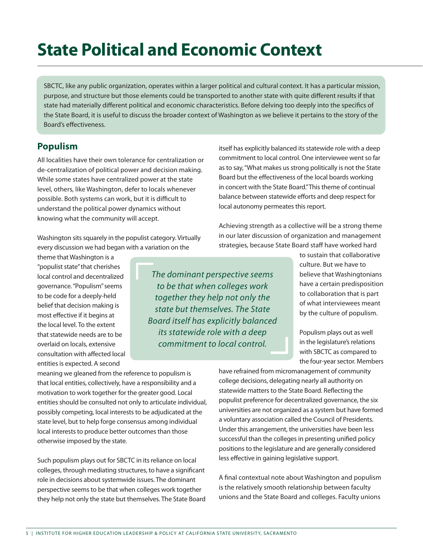# **State Political and Economic Context**

SBCTC, like any public organization, operates within a larger political and cultural context. It has a particular mission, purpose, and structure but those elements could be transported to another state with quite different results if that state had materially different political and economic characteristics. Before delving too deeply into the specifics of the State Board, it is useful to discuss the broader context of Washington as we believe it pertains to the story of the Board's effectiveness.

## **Populism**

All localities have their own tolerance for centralization or de-centralization of political power and decision making. While some states have centralized power at the state level, others, like Washington, defer to locals whenever possible. Both systems can work, but it is difficult to understand the political power dynamics without knowing what the community will accept.

Washington sits squarely in the populist category. Virtually every discussion we had began with a variation on the

theme that Washington is a "populist state" that cherishes local control and decentralized governance. "Populism" seems to be code for a deeply-held belief that decision making is most effective if it begins at the local level. To the extent that statewide needs are to be overlaid on locals, extensive consultation with affected local entities is expected. A second

*The dominant perspective seems to be that when colleges work together they help not only the state but themselves. The State Board itself has explicitly balanced its statewide role with a deep commitment to local control.* 

itself has explicitly balanced its statewide role with a deep commitment to local control. One interviewee went so far as to say, "What makes us strong politically is not the State Board but the effectiveness of the local boards working in concert with the State Board." This theme of continual balance between statewide efforts and deep respect for local autonomy permeates this report.

Achieving strength as a collective will be a strong theme in our later discussion of organization and management strategies, because State Board staff have worked hard

> to sustain that collaborative culture. But we have to believe that Washingtonians have a certain predisposition to collaboration that is part of what interviewees meant by the culture of populism.

> Populism plays out as well in the legislature's relations with SBCTC as compared to the four-year sector. Members

meaning we gleaned from the reference to populism is that local entities, collectively, have a responsibility and a motivation to work together for the greater good. Local entities should be consulted not only to articulate individual, possibly competing, local interests to be adjudicated at the state level, but to help forge consensus among individual local interests to produce better outcomes than those otherwise imposed by the state.

Such populism plays out for SBCTC in its reliance on local colleges, through mediating structures, to have a significant role in decisions about systemwide issues. The dominant perspective seems to be that when colleges work together they help not only the state but themselves. The State Board have refrained from micromanagement of community college decisions, delegating nearly all authority on statewide matters to the State Board. Reflecting the populist preference for decentralized governance, the six universities are not organized as a system but have formed a voluntary association called the Council of Presidents. Under this arrangement, the universities have been less successful than the colleges in presenting unified policy positions to the legislature and are generally considered less effective in gaining legislative support.

A final contextual note about Washington and populism is the relatively smooth relationship between faculty unions and the State Board and colleges. Faculty unions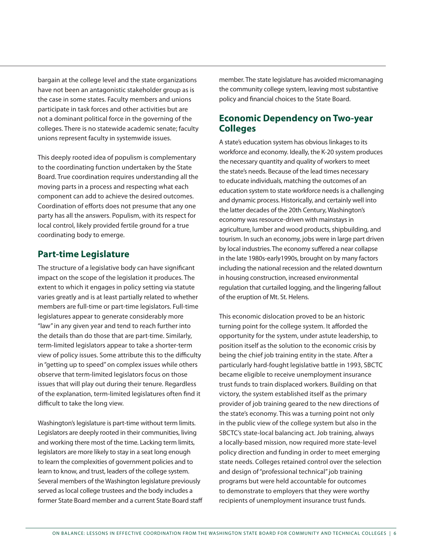bargain at the college level and the state organizations have not been an antagonistic stakeholder group as is the case in some states. Faculty members and unions participate in task forces and other activities but are not a dominant political force in the governing of the colleges. There is no statewide academic senate; faculty unions represent faculty in systemwide issues.

This deeply rooted idea of populism is complementary to the coordinating function undertaken by the State Board. True coordination requires understanding all the moving parts in a process and respecting what each component can add to achieve the desired outcomes. Coordination of efforts does not presume that any one party has all the answers. Populism, with its respect for local control, likely provided fertile ground for a true coordinating body to emerge.

### **Part-time Legislature**

The structure of a legislative body can have significant impact on the scope of the legislation it produces. The extent to which it engages in policy setting via statute varies greatly and is at least partially related to whether members are full-time or part-time legislators. Full-time legislatures appear to generate considerably more "law" in any given year and tend to reach further into the details than do those that are part-time. Similarly, term-limited legislators appear to take a shorter-term view of policy issues. Some attribute this to the difficulty in "getting up to speed" on complex issues while others observe that term-limited legislators focus on those issues that will play out during their tenure. Regardless of the explanation, term-limited legislatures often find it difficult to take the long view.

Washington's legislature is part-time without term limits. Legislators are deeply rooted in their communities, living and working there most of the time. Lacking term limits, legislators are more likely to stay in a seat long enough to learn the complexities of government policies and to learn to know, and trust, leaders of the college system. Several members of the Washington legislature previously served as local college trustees and the body includes a former State Board member and a current State Board staff member. The state legislature has avoided micromanaging the community college system, leaving most substantive policy and financial choices to the State Board.

### **Economic Dependency on Two-year Colleges**

A state's education system has obvious linkages to its workforce and economy. Ideally, the K-20 system produces the necessary quantity and quality of workers to meet the state's needs. Because of the lead times necessary to educate individuals, matching the outcomes of an education system to state workforce needs is a challenging and dynamic process. Historically, and certainly well into the latter decades of the 20th Century, Washington's economy was resource-driven with mainstays in agriculture, lumber and wood products, shipbuilding, and tourism. In such an economy, jobs were in large part driven by local industries. The economy suffered a near collapse in the late 1980s-early1990s, brought on by many factors including the national recession and the related downturn in housing construction, increased environmental regulation that curtailed logging, and the lingering fallout of the eruption of Mt. St. Helens.

This economic dislocation proved to be an historic turning point for the college system. It afforded the opportunity for the system, under astute leadership, to position itself as the solution to the economic crisis by being the chief job training entity in the state. After a particularly hard-fought legislative battle in 1993, SBCTC became eligible to receive unemployment insurance trust funds to train displaced workers. Building on that victory, the system established itself as the primary provider of job training geared to the new directions of the state's economy. This was a turning point not only in the public view of the college system but also in the SBCTC's state-local balancing act. Job training, always a locally-based mission, now required more state-level policy direction and funding in order to meet emerging state needs. Colleges retained control over the selection and design of "professional technical" job training programs but were held accountable for outcomes to demonstrate to employers that they were worthy recipients of unemployment insurance trust funds.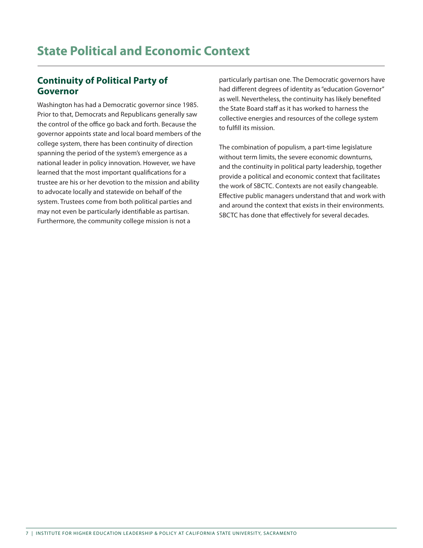## **Continuity of Political Party of Governor**

Washington has had a Democratic governor since 1985. Prior to that, Democrats and Republicans generally saw the control of the office go back and forth. Because the governor appoints state and local board members of the college system, there has been continuity of direction spanning the period of the system's emergence as a national leader in policy innovation. However, we have learned that the most important qualifications for a trustee are his or her devotion to the mission and ability to advocate locally and statewide on behalf of the system. Trustees come from both political parties and may not even be particularly identifiable as partisan. Furthermore, the community college mission is not a

particularly partisan one. The Democratic governors have had different degrees of identity as "education Governor" as well. Nevertheless, the continuity has likely benefited the State Board staff as it has worked to harness the collective energies and resources of the college system to fulfill its mission.

The combination of populism, a part-time legislature without term limits, the severe economic downturns, and the continuity in political party leadership, together provide a political and economic context that facilitates the work of SBCTC. Contexts are not easily changeable. Effective public managers understand that and work with and around the context that exists in their environments. SBCTC has done that effectively for several decades.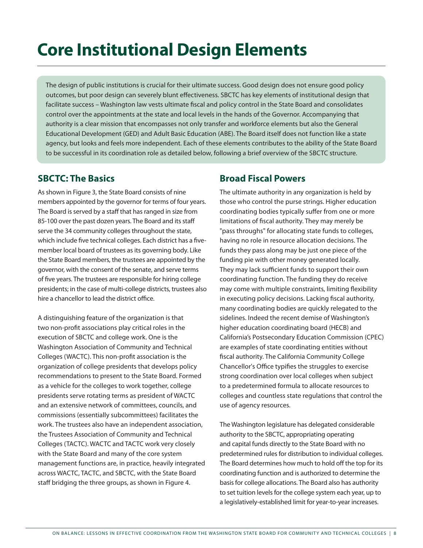# **Core Institutional Design Elements**

The design of public institutions is crucial for their ultimate success. Good design does not ensure good policy outcomes, but poor design can severely blunt effectiveness. SBCTC has key elements of institutional design that facilitate success – Washington law vests ultimate fiscal and policy control in the State Board and consolidates control over the appointments at the state and local levels in the hands of the Governor. Accompanying that authority is a clear mission that encompasses not only transfer and workforce elements but also the General Educational Development (GED) and Adult Basic Education (ABE). The Board itself does not function like a state agency, but looks and feels more independent. Each of these elements contributes to the ability of the State Board to be successful in its coordination role as detailed below, following a brief overview of the SBCTC structure.

### **SBCTC: The Basics**

As shown in Figure 3, the State Board consists of nine members appointed by the governor for terms of four years. The Board is served by a staff that has ranged in size from 85-100 over the past dozen years. The Board and its staff serve the 34 community colleges throughout the state, which include five technical colleges. Each district has a fivemember local board of trustees as its governing body. Like the State Board members, the trustees are appointed by the governor, with the consent of the senate, and serve terms of five years. The trustees are responsible for hiring college presidents; in the case of multi-college districts, trustees also hire a chancellor to lead the district office.

A distinguishing feature of the organization is that two non-profit associations play critical roles in the execution of SBCTC and college work. One is the Washington Association of Community and Technical Colleges (WACTC). This non-profit association is the organization of college presidents that develops policy recommendations to present to the State Board. Formed as a vehicle for the colleges to work together, college presidents serve rotating terms as president of WACTC and an extensive network of committees, councils, and commissions (essentially subcommittees) facilitates the work. The trustees also have an independent association, the Trustees Association of Community and Technical Colleges (TACTC). WACTC and TACTC work very closely with the State Board and many of the core system management functions are, in practice, heavily integrated across WACTC, TACTC, and SBCTC, with the State Board staff bridging the three groups, as shown in Figure 4.

## **Broad Fiscal Powers**

The ultimate authority in any organization is held by those who control the purse strings. Higher education coordinating bodies typically suffer from one or more limitations of fiscal authority. They may merely be "pass throughs" for allocating state funds to colleges, having no role in resource allocation decisions. The funds they pass along may be just one piece of the funding pie with other money generated locally. They may lack sufficient funds to support their own coordinating function. The funding they do receive may come with multiple constraints, limiting flexibility in executing policy decisions. Lacking fiscal authority, many coordinating bodies are quickly relegated to the sidelines. Indeed the recent demise of Washington's higher education coordinating board (HECB) and California's Postsecondary Education Commission (CPEC) are examples of state coordinating entities without fiscal authority. The California Community College Chancellor's Office typifies the struggles to exercise strong coordination over local colleges when subject to a predetermined formula to allocate resources to colleges and countless state regulations that control the use of agency resources.

The Washington legislature has delegated considerable authority to the SBCTC, appropriating operating and capital funds directly to the State Board with no predetermined rules for distribution to individual colleges. The Board determines how much to hold off the top for its coordinating function and is authorized to determine the basis for college allocations. The Board also has authority to set tuition levels for the college system each year, up to a legislatively-established limit for year-to-year increases.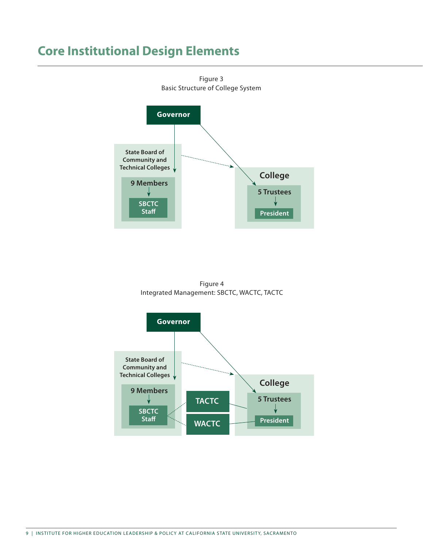## **Core Institutional Design Elements**



Figure 3 Basic Structure of College System

Figure 4 Integrated Management: SBCTC, WACTC, TACTC

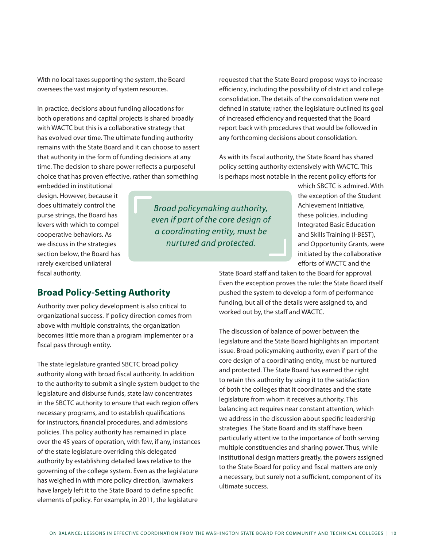With no local taxes supporting the system, the Board oversees the vast majority of system resources.

In practice, decisions about funding allocations for both operations and capital projects is shared broadly with WACTC but this is a collaborative strategy that has evolved over time. The ultimate funding authority remains with the State Board and it can choose to assert that authority in the form of funding decisions at any time. The decision to share power reflects a purposeful choice that has proven effective, rather than something

requested that the State Board propose ways to increase efficiency, including the possibility of district and college consolidation. The details of the consolidation were not defined in statute; rather, the legislature outlined its goal of increased efficiency and requested that the Board report back with procedures that would be followed in any forthcoming decisions about consolidation.

As with its fiscal authority, the State Board has shared policy setting authority extensively with WACTC. This is perhaps most notable in the recent policy efforts for

embedded in institutional design. However, because it does ultimately control the purse strings, the Board has levers with which to compel cooperative behaviors. As we discuss in the strategies section below, the Board has rarely exercised unilateral fiscal authority.

*Broad policymaking authority, even if part of the core design of a coordinating entity, must be nurtured and protected.* 

which SBCTC is admired. With the exception of the Student Achievement Initiative, these policies, including Integrated Basic Education and Skills Training (I-BEST), and Opportunity Grants, were initiated by the collaborative efforts of WACTC and the

State Board staff and taken to the Board for approval. Even the exception proves the rule: the State Board itself pushed the system to develop a form of performance funding, but all of the details were assigned to, and worked out by, the staff and WACTC.

The discussion of balance of power between the legislature and the State Board highlights an important issue. Broad policymaking authority, even if part of the core design of a coordinating entity, must be nurtured and protected. The State Board has earned the right to retain this authority by using it to the satisfaction of both the colleges that it coordinates and the state legislature from whom it receives authority. This balancing act requires near constant attention, which we address in the discussion about specific leadership strategies. The State Board and its staff have been particularly attentive to the importance of both serving multiple constituencies and sharing power. Thus, while institutional design matters greatly, the powers assigned to the State Board for policy and fiscal matters are only a necessary, but surely not a sufficient, component of its ultimate success.

#### **Broad Policy-Setting Authority**

Authority over policy development is also critical to organizational success. If policy direction comes from above with multiple constraints, the organization becomes little more than a program implementer or a fiscal pass through entity.

The state legislature granted SBCTC broad policy authority along with broad fiscal authority. In addition to the authority to submit a single system budget to the legislature and disburse funds, state law concentrates in the SBCTC authority to ensure that each region offers necessary programs, and to establish qualifications for instructors, financial procedures, and admissions policies. This policy authority has remained in place over the 45 years of operation, with few, if any, instances of the state legislature overriding this delegated authority by establishing detailed laws relative to the governing of the college system. Even as the legislature has weighed in with more policy direction, lawmakers have largely left it to the State Board to define specific elements of policy. For example, in 2011, the legislature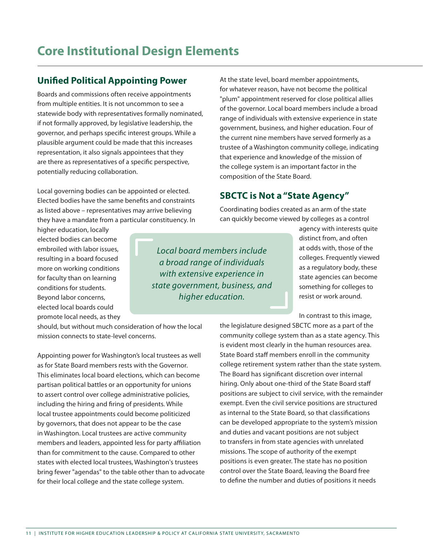# **Core Institutional Design Elements**

## **Unified Political Appointing Power**

Boards and commissions often receive appointments from multiple entities. It is not uncommon to see a statewide body with representatives formally nominated, if not formally approved, by legislative leadership, the governor, and perhaps specific interest groups. While a plausible argument could be made that this increases representation, it also signals appointees that they are there as representatives of a specific perspective, potentially reducing collaboration.

Local governing bodies can be appointed or elected. Elected bodies have the same benefits and constraints as listed above – representatives may arrive believing they have a mandate from a particular constituency. In At the state level, board member appointments, for whatever reason, have not become the political "plum" appointment reserved for close political allies of the governor. Local board members include a broad range of individuals with extensive experience in state government, business, and higher education. Four of the current nine members have served formerly as a trustee of a Washington community college, indicating that experience and knowledge of the mission of the college system is an important factor in the composition of the State Board.

## **SBCTC is Not a "State Agency"**

Coordinating bodies created as an arm of the state can quickly become viewed by colleges as a control

higher education, locally elected bodies can become embroiled with labor issues, resulting in a board focused more on working conditions for faculty than on learning conditions for students. Beyond labor concerns, elected local boards could promote local needs, as they

*Local board members include a broad range of individuals with extensive experience in state government, business, and higher education.*

agency with interests quite distinct from, and often at odds with, those of the colleges. Frequently viewed as a regulatory body, these state agencies can become something for colleges to resist or work around.

In contrast to this image,

the legislature designed SBCTC more as a part of the community college system than as a state agency. This is evident most clearly in the human resources area. State Board staff members enroll in the community college retirement system rather than the state system. The Board has significant discretion over internal hiring. Only about one-third of the State Board staff positions are subject to civil service, with the remainder exempt. Even the civil service positions are structured as internal to the State Board, so that classifications can be developed appropriate to the system's mission and duties and vacant positions are not subject to transfers in from state agencies with unrelated missions. The scope of authority of the exempt positions is even greater. The state has no position control over the State Board, leaving the Board free to define the number and duties of positions it needs

should, but without much consideration of how the local mission connects to state-level concerns.

Appointing power for Washington's local trustees as well as for State Board members rests with the Governor. This eliminates local board elections, which can become partisan political battles or an opportunity for unions to assert control over college administrative policies, including the hiring and firing of presidents. While local trustee appointments could become politicized by governors, that does not appear to be the case in Washington. Local trustees are active community members and leaders, appointed less for party affiliation than for commitment to the cause. Compared to other states with elected local trustees, Washington's trustees bring fewer "agendas" to the table other than to advocate for their local college and the state college system.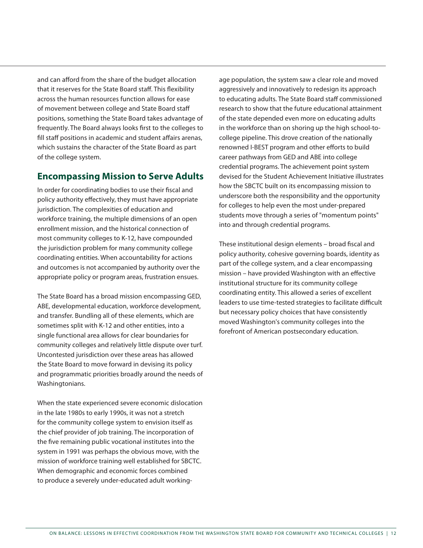and can afford from the share of the budget allocation that it reserves for the State Board staff. This flexibility across the human resources function allows for ease of movement between college and State Board staff positions, something the State Board takes advantage of frequently. The Board always looks first to the colleges to fill staff positions in academic and student affairs arenas, which sustains the character of the State Board as part of the college system.

### **Encompassing Mission to Serve Adults**

In order for coordinating bodies to use their fiscal and policy authority effectively, they must have appropriate jurisdiction. The complexities of education and workforce training, the multiple dimensions of an open enrollment mission, and the historical connection of most community colleges to K-12, have compounded the jurisdiction problem for many community college coordinating entities. When accountability for actions and outcomes is not accompanied by authority over the appropriate policy or program areas, frustration ensues.

The State Board has a broad mission encompassing GED, ABE, developmental education, workforce development, and transfer. Bundling all of these elements, which are sometimes split with K-12 and other entities, into a single functional area allows for clear boundaries for community colleges and relatively little dispute over turf. Uncontested jurisdiction over these areas has allowed the State Board to move forward in devising its policy and programmatic priorities broadly around the needs of Washingtonians.

When the state experienced severe economic dislocation in the late 1980s to early 1990s, it was not a stretch for the community college system to envision itself as the chief provider of job training. The incorporation of the five remaining public vocational institutes into the system in 1991 was perhaps the obvious move, with the mission of workforce training well established for SBCTC. When demographic and economic forces combined to produce a severely under-educated adult workingage population, the system saw a clear role and moved aggressively and innovatively to redesign its approach to educating adults. The State Board staff commissioned research to show that the future educational attainment of the state depended even more on educating adults in the workforce than on shoring up the high school-tocollege pipeline. This drove creation of the nationally renowned I-BEST program and other efforts to build career pathways from GED and ABE into college credential programs. The achievement point system devised for the Student Achievement Initiative illustrates how the SBCTC built on its encompassing mission to underscore both the responsibility and the opportunity for colleges to help even the most under-prepared students move through a series of "momentum points" into and through credential programs.

These institutional design elements – broad fiscal and policy authority, cohesive governing boards, identity as part of the college system, and a clear encompassing mission – have provided Washington with an effective institutional structure for its community college coordinating entity. This allowed a series of excellent leaders to use time-tested strategies to facilitate difficult but necessary policy choices that have consistently moved Washington's community colleges into the forefront of American postsecondary education.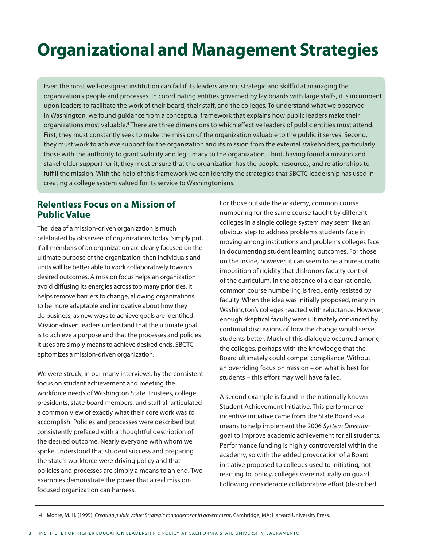# **Organizational and Management Strategies**

Even the most well-designed institution can fail if its leaders are not strategic and skillful at managing the organization's people and processes. In coordinating entities governed by lay boards with large staffs, it is incumbent upon leaders to facilitate the work of their board, their staff, and the colleges. To understand what we observed in Washington, we found guidance from a conceptual framework that explains how public leaders make their organizations most valuable.<sup>4</sup> There are three dimensions to which effective leaders of public entities must attend. First, they must constantly seek to make the mission of the organization valuable to the public it serves. Second, they must work to achieve support for the organization and its mission from the external stakeholders, particularly those with the authority to grant viability and legitimacy to the organization. Third, having found a mission and stakeholder support for it, they must ensure that the organization has the people, resources, and relationships to fulfill the mission. With the help of this framework we can identify the strategies that SBCTC leadership has used in creating a college system valued for its service to Washingtonians.

### **Relentless Focus on a Mission of Public Value**

The idea of a mission-driven organization is much celebrated by observers of organizations today. Simply put, if all members of an organization are clearly focused on the ultimate purpose of the organization, then individuals and units will be better able to work collaboratively towards desired outcomes. A mission focus helps an organization avoid diffusing its energies across too many priorities. It helps remove barriers to change, allowing organizations to be more adaptable and innovative about how they do business, as new ways to achieve goals are identified. Mission-driven leaders understand that the ultimate goal is to achieve a purpose and that the processes and policies it uses are simply means to achieve desired ends. SBCTC epitomizes a mission-driven organization.

We were struck, in our many interviews, by the consistent focus on student achievement and meeting the workforce needs of Washington State. Trustees, college presidents, state board members, and staff all articulated a common view of exactly what their core work was to accomplish. Policies and processes were described but consistently prefaced with a thoughtful description of the desired outcome. Nearly everyone with whom we spoke understood that student success and preparing the state's workforce were driving policy and that policies and processes are simply a means to an end. Two examples demonstrate the power that a real missionfocused organization can harness.

For those outside the academy, common course numbering for the same course taught by different colleges in a single college system may seem like an obvious step to address problems students face in moving among institutions and problems colleges face in documenting student learning outcomes. For those on the inside, however, it can seem to be a bureaucratic imposition of rigidity that dishonors faculty control of the curriculum. In the absence of a clear rationale, common course numbering is frequently resisted by faculty. When the idea was initially proposed, many in Washington's colleges reacted with reluctance. However, enough skeptical faculty were ultimately convinced by continual discussions of how the change would serve students better. Much of this dialogue occurred among the colleges, perhaps with the knowledge that the Board ultimately could compel compliance. Without an overriding focus on mission – on what is best for students – this effort may well have failed.

A second example is found in the nationally known Student Achievement Initiative. This performance incentive initiative came from the State Board as a means to help implement the 2006 *System Direction* goal to improve academic achievement for all students. Performance funding is highly controversial within the academy, so with the added provocation of a Board initiative proposed to colleges used to initiating, not reacting to, policy, colleges were naturally on guard. Following considerable collaborative effort (described

4 Moore, M. H. (1995). *Creating public value: Strategic management in government*, Cambridge, MA: Harvard University Press.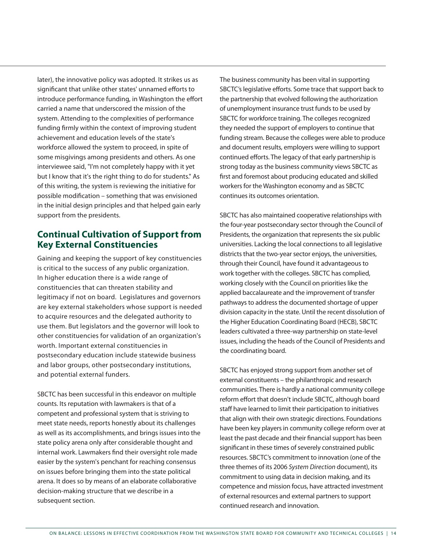later), the innovative policy was adopted. It strikes us as significant that unlike other states' unnamed efforts to introduce performance funding, in Washington the effort carried a name that underscored the mission of the system. Attending to the complexities of performance funding firmly within the context of improving student achievement and education levels of the state's workforce allowed the system to proceed, in spite of some misgivings among presidents and others. As one interviewee said, "I'm not completely happy with it yet but I know that it's the right thing to do for students." As of this writing, the system is reviewing the initiative for possible modification – something that was envisioned in the initial design principles and that helped gain early support from the presidents.

## **Continual Cultivation of Support from Key External Constituencies**

Gaining and keeping the support of key constituencies is critical to the success of any public organization. In higher education there is a wide range of constituencies that can threaten stability and legitimacy if not on board. Legislatures and governors are key external stakeholders whose support is needed to acquire resources and the delegated authority to use them. But legislators and the governor will look to other constituencies for validation of an organization's worth. Important external constituencies in postsecondary education include statewide business and labor groups, other postsecondary institutions, and potential external funders.

SBCTC has been successful in this endeavor on multiple counts. Its reputation with lawmakers is that of a competent and professional system that is striving to meet state needs, reports honestly about its challenges as well as its accomplishments, and brings issues into the state policy arena only after considerable thought and internal work. Lawmakers find their oversight role made easier by the system's penchant for reaching consensus on issues before bringing them into the state political arena. It does so by means of an elaborate collaborative decision-making structure that we describe in a subsequent section.

The business community has been vital in supporting SBCTC's legislative efforts. Some trace that support back to the partnership that evolved following the authorization of unemployment insurance trust funds to be used by SBCTC for workforce training. The colleges recognized they needed the support of employers to continue that funding stream. Because the colleges were able to produce and document results, employers were willing to support continued efforts. The legacy of that early partnership is strong today as the business community views SBCTC as first and foremost about producing educated and skilled workers for the Washington economy and as SBCTC continues its outcomes orientation.

SBCTC has also maintained cooperative relationships with the four-year postsecondary sector through the Council of Presidents, the organization that represents the six public universities. Lacking the local connections to all legislative districts that the two-year sector enjoys, the universities, through their Council, have found it advantageous to work together with the colleges. SBCTC has complied, working closely with the Council on priorities like the applied baccalaureate and the improvement of transfer pathways to address the documented shortage of upper division capacity in the state. Until the recent dissolution of the Higher Education Coordinating Board (HECB), SBCTC leaders cultivated a three-way partnership on state-level issues, including the heads of the Council of Presidents and the coordinating board.

SBCTC has enjoyed strong support from another set of external constituents – the philanthropic and research communities. There is hardly a national community college reform effort that doesn't include SBCTC, although board staff have learned to limit their participation to initiatives that align with their own strategic directions. Foundations have been key players in community college reform over at least the past decade and their financial support has been significant in these times of severely constrained public resources. SBCTC's commitment to innovation (one of the three themes of its 2006 *System Direction* document), its commitment to using data in decision making, and its competence and mission focus, have attracted investment of external resources and external partners to support continued research and innovation.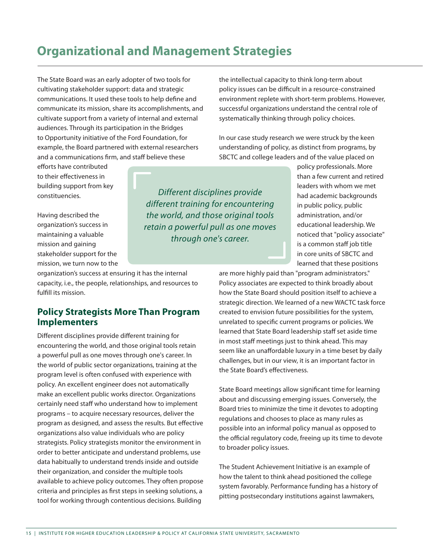## **Organizational and Management Strategies**

The State Board was an early adopter of two tools for cultivating stakeholder support: data and strategic communications. It used these tools to help define and communicate its mission, share its accomplishments, and cultivate support from a variety of internal and external audiences. Through its participation in the Bridges to Opportunity initiative of the Ford Foundation, for example, the Board partnered with external researchers and a communications firm, and staff believe these

efforts have contributed to their effectiveness in building support from key constituencies.

Having described the organization's success in maintaining a valuable mission and gaining stakeholder support for the mission, we turn now to the

organization's success at ensuring it has the internal capacity, i.e., the people, relationships, and resources to fulfill its mission.

## **Policy Strategists More Than Program Implementers**

Different disciplines provide different training for encountering the world, and those original tools retain a powerful pull as one moves through one's career. In the world of public sector organizations, training at the program level is often confused with experience with policy. An excellent engineer does not automatically make an excellent public works director. Organizations certainly need staff who understand how to implement programs – to acquire necessary resources, deliver the program as designed, and assess the results. But effective organizations also value individuals who are policy strategists. Policy strategists monitor the environment in order to better anticipate and understand problems, use data habitually to understand trends inside and outside their organization, and consider the multiple tools available to achieve policy outcomes. They often propose criteria and principles as first steps in seeking solutions, a tool for working through contentious decisions. Building

the intellectual capacity to think long-term about policy issues can be difficult in a resource-constrained environment replete with short-term problems. However, successful organizations understand the central role of systematically thinking through policy choices.

In our case study research we were struck by the keen understanding of policy, as distinct from programs, by SBCTC and college leaders and of the value placed on

*Different disciplines provide different training for encountering the world, and those original tools retain a powerful pull as one moves through one's career.*

policy professionals. More than a few current and retired leaders with whom we met had academic backgrounds in public policy, public administration, and/or educational leadership. We noticed that "policy associate" is a common staff job title in core units of SBCTC and learned that these positions

are more highly paid than "program administrators." Policy associates are expected to think broadly about how the State Board should position itself to achieve a strategic direction. We learned of a new WACTC task force created to envision future possibilities for the system, unrelated to specific current programs or policies. We learned that State Board leadership staff set aside time in most staff meetings just to think ahead. This may seem like an unaffordable luxury in a time beset by daily challenges, but in our view, it is an important factor in the State Board's effectiveness.

State Board meetings allow significant time for learning about and discussing emerging issues. Conversely, the Board tries to minimize the time it devotes to adopting regulations and chooses to place as many rules as possible into an informal policy manual as opposed to the official regulatory code, freeing up its time to devote to broader policy issues.

The Student Achievement Initiative is an example of how the talent to think ahead positioned the college system favorably. Performance funding has a history of pitting postsecondary institutions against lawmakers,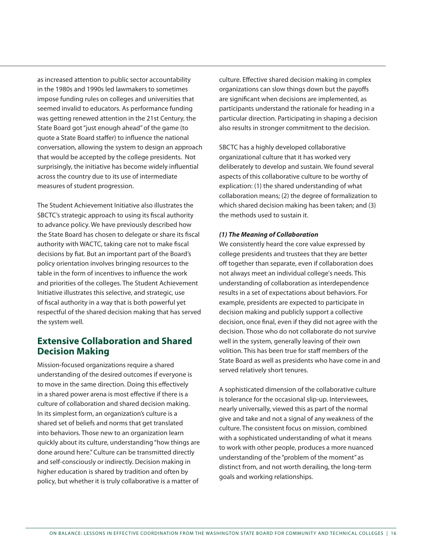as increased attention to public sector accountability in the 1980s and 1990s led lawmakers to sometimes impose funding rules on colleges and universities that seemed invalid to educators. As performance funding was getting renewed attention in the 21st Century, the State Board got "just enough ahead" of the game (to quote a State Board staffer) to influence the national conversation, allowing the system to design an approach that would be accepted by the college presidents. Not surprisingly, the initiative has become widely influential across the country due to its use of intermediate measures of student progression.

The Student Achievement Initiative also illustrates the SBCTC's strategic approach to using its fiscal authority to advance policy. We have previously described how the State Board has chosen to delegate or share its fiscal authority with WACTC, taking care not to make fiscal decisions by fiat. But an important part of the Board's policy orientation involves bringing resources to the table in the form of incentives to influence the work and priorities of the colleges. The Student Achievement Initiative illustrates this selective, and strategic, use of fiscal authority in a way that is both powerful yet respectful of the shared decision making that has served the system well.

## **Extensive Collaboration and Shared Decision Making**

Mission-focused organizations require a shared understanding of the desired outcomes if everyone is to move in the same direction. Doing this effectively in a shared power arena is most effective if there is a culture of collaboration and shared decision making. In its simplest form, an organization's culture is a shared set of beliefs and norms that get translated into behaviors. Those new to an organization learn quickly about its culture, understanding "how things are done around here." Culture can be transmitted directly and self-consciously or indirectly. Decision making in higher education is shared by tradition and often by policy, but whether it is truly collaborative is a matter of

culture. Effective shared decision making in complex organizations can slow things down but the payoffs are significant when decisions are implemented, as participants understand the rationale for heading in a particular direction. Participating in shaping a decision also results in stronger commitment to the decision.

SBCTC has a highly developed collaborative organizational culture that it has worked very deliberately to develop and sustain. We found several aspects of this collaborative culture to be worthy of explication: (1) the shared understanding of what collaboration means; (2) the degree of formalization to which shared decision making has been taken; and (3) the methods used to sustain it.

#### *(1) The Meaning of Collaboration*

We consistently heard the core value expressed by college presidents and trustees that they are better off together than separate, even if collaboration does not always meet an individual college's needs. This understanding of collaboration as interdependence results in a set of expectations about behaviors. For example, presidents are expected to participate in decision making and publicly support a collective decision, once final, even if they did not agree with the decision. Those who do not collaborate do not survive well in the system, generally leaving of their own volition. This has been true for staff members of the State Board as well as presidents who have come in and served relatively short tenures.

A sophisticated dimension of the collaborative culture is tolerance for the occasional slip-up. Interviewees, nearly universally, viewed this as part of the normal give and take and not a signal of any weakness of the culture. The consistent focus on mission, combined with a sophisticated understanding of what it means to work with other people, produces a more nuanced understanding of the "problem of the moment" as distinct from, and not worth derailing, the long-term goals and working relationships.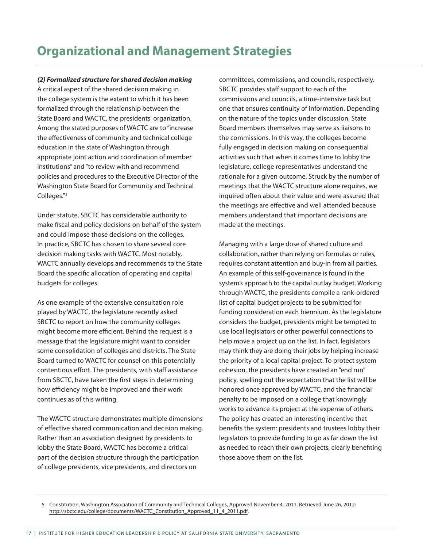## **Organizational and Management Strategies**

*(2) Formalized structure for shared decision making*

A critical aspect of the shared decision making in the college system is the extent to which it has been formalized through the relationship between the State Board and WACTC, the presidents' organization. Among the stated purposes of WACTC are to "increase the effectiveness of community and technical college education in the state of Washington through appropriate joint action and coordination of member institutions" and "to review with and recommend policies and procedures to the Executive Director of the Washington State Board for Community and Technical Colleges."<sup>5</sup>

Under statute, SBCTC has considerable authority to make fiscal and policy decisions on behalf of the system and could impose those decisions on the colleges. In practice, SBCTC has chosen to share several core decision making tasks with WACTC. Most notably, WACTC annually develops and recommends to the State Board the specific allocation of operating and capital budgets for colleges.

As one example of the extensive consultation role played by WACTC, the legislature recently asked SBCTC to report on how the community colleges might become more efficient. Behind the request is a message that the legislature might want to consider some consolidation of colleges and districts. The State Board turned to WACTC for counsel on this potentially contentious effort. The presidents, with staff assistance from SBCTC, have taken the first steps in determining how efficiency might be improved and their work continues as of this writing.

The WACTC structure demonstrates multiple dimensions of effective shared communication and decision making. Rather than an association designed by presidents to lobby the State Board, WACTC has become a critical part of the decision structure through the participation of college presidents, vice presidents, and directors on

committees, commissions, and councils, respectively. SBCTC provides staff support to each of the commissions and councils, a time-intensive task but one that ensures continuity of information. Depending on the nature of the topics under discussion, State Board members themselves may serve as liaisons to the commissions. In this way, the colleges become fully engaged in decision making on consequential activities such that when it comes time to lobby the legislature, college representatives understand the rationale for a given outcome. Struck by the number of meetings that the WACTC structure alone requires, we inquired often about their value and were assured that the meetings are effective and well attended because members understand that important decisions are made at the meetings.

Managing with a large dose of shared culture and collaboration, rather than relying on formulas or rules, requires constant attention and buy-in from all parties. An example of this self-governance is found in the system's approach to the capital outlay budget. Working through WACTC, the presidents compile a rank-ordered list of capital budget projects to be submitted for funding consideration each biennium. As the legislature considers the budget, presidents might be tempted to use local legislators or other powerful connections to help move a project up on the list. In fact, legislators may think they are doing their jobs by helping increase the priority of a local capital project. To protect system cohesion, the presidents have created an "end run" policy, spelling out the expectation that the list will be honored once approved by WACTC, and the financial penalty to be imposed on a college that knowingly works to advance its project at the expense of others. The policy has created an interesting incentive that benefits the system: presidents and trustees lobby their legislators to provide funding to go as far down the list as needed to reach their own projects, clearly benefiting those above them on the list.

5 Constitution, Washington Association of Community and Technical Colleges, Approved November 4, 2011. Retrieved June 26, 2012: http://sbctc.edu/college/documents/WACTC\_Constitution\_Approved\_11\_4\_2011.pdf.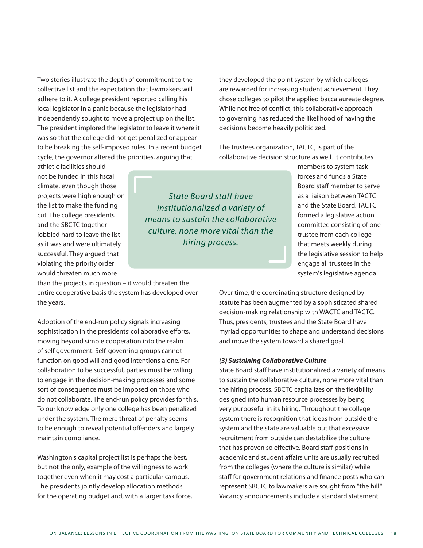Two stories illustrate the depth of commitment to the collective list and the expectation that lawmakers will adhere to it. A college president reported calling his local legislator in a panic because the legislator had independently sought to move a project up on the list. The president implored the legislator to leave it where it was so that the college did not get penalized or appear to be breaking the self-imposed rules. In a recent budget cycle, the governor altered the priorities, arguing that

they developed the point system by which colleges are rewarded for increasing student achievement. They chose colleges to pilot the applied baccalaureate degree. While not free of conflict, this collaborative approach to governing has reduced the likelihood of having the decisions become heavily politicized.

The trustees organization, TACTC, is part of the collaborative decision structure as well. It contributes

athletic facilities should not be funded in this fiscal climate, even though those projects were high enough on the list to make the funding cut. The college presidents and the SBCTC together lobbied hard to leave the list as it was and were ultimately successful. They argued that violating the priority order would threaten much more

than the projects in question – it would threaten the entire cooperative basis the system has developed over the years.

Adoption of the end-run policy signals increasing sophistication in the presidents' collaborative efforts, moving beyond simple cooperation into the realm of self government. Self-governing groups cannot function on good will and good intentions alone. For collaboration to be successful, parties must be willing to engage in the decision-making processes and some sort of consequence must be imposed on those who do not collaborate. The end-run policy provides for this. To our knowledge only one college has been penalized under the system. The mere threat of penalty seems to be enough to reveal potential offenders and largely maintain compliance.

Washington's capital project list is perhaps the best, but not the only, example of the willingness to work together even when it may cost a particular campus. The presidents jointly develop allocation methods for the operating budget and, with a larger task force,

*State Board staff have institutionalized a variety of means to sustain the collaborative culture, none more vital than the hiring process.* 

members to system task forces and funds a State Board staff member to serve as a liaison between TACTC and the State Board. TACTC formed a legislative action committee consisting of one trustee from each college that meets weekly during the legislative session to help engage all trustees in the system's legislative agenda.

Over time, the coordinating structure designed by statute has been augmented by a sophisticated shared decision-making relationship with WACTC and TACTC. Thus, presidents, trustees and the State Board have myriad opportunities to shape and understand decisions and move the system toward a shared goal.

#### *(3) Sustaining Collaborative Culture*

State Board staff have institutionalized a variety of means to sustain the collaborative culture, none more vital than the hiring process. SBCTC capitalizes on the flexibility designed into human resource processes by being very purposeful in its hiring. Throughout the college system there is recognition that ideas from outside the system and the state are valuable but that excessive recruitment from outside can destabilize the culture that has proven so effective. Board staff positions in academic and student affairs units are usually recruited from the colleges (where the culture is similar) while staff for government relations and finance posts who can represent SBCTC to lawmakers are sought from "the hill." Vacancy announcements include a standard statement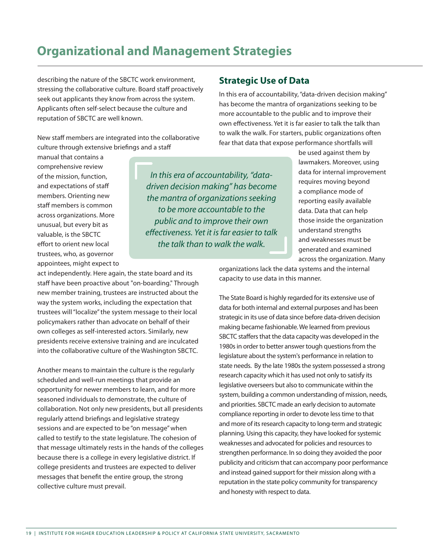## **Organizational and Management Strategies**

describing the nature of the SBCTC work environment, stressing the collaborative culture. Board staff proactively seek out applicants they know from across the system. Applicants often self-select because the culture and reputation of SBCTC are well known.

New staff members are integrated into the collaborative culture through extensive briefings and a staff

manual that contains a comprehensive review of the mission, function, and expectations of staff members. Orienting new staff members is common across organizations. More unusual, but every bit as valuable, is the SBCTC effort to orient new local trustees, who, as governor appointees, might expect to

act independently. Here again, the state board and its staff have been proactive about "on-boarding." Through new member training, trustees are instructed about the way the system works, including the expectation that trustees will "localize" the system message to their local policymakers rather than advocate on behalf of their own colleges as self-interested actors. Similarly, new presidents receive extensive training and are inculcated into the collaborative culture of the Washington SBCTC.

Another means to maintain the culture is the regularly scheduled and well-run meetings that provide an opportunity for newer members to learn, and for more seasoned individuals to demonstrate, the culture of collaboration. Not only new presidents, but all presidents regularly attend briefings and legislative strategy sessions and are expected to be "on message" when called to testify to the state legislature. The cohesion of that message ultimately rests in the hands of the colleges because there is a college in every legislative district. If college presidents and trustees are expected to deliver messages that benefit the entire group, the strong collective culture must prevail.

**Strategic Use of Data** 

In this era of accountability, "data-driven decision making" has become the mantra of organizations seeking to be more accountable to the public and to improve their own effectiveness. Yet it is far easier to talk the talk than to walk the walk. For starters, public organizations often fear that data that expose performance shortfalls will

*In this era of accountability, "datadriven decision making" has become the mantra of organizations seeking to be more accountable to the public and to improve their own effectiveness. Yet it is far easier to talk the talk than to walk the walk.*

be used against them by lawmakers. Moreover, using data for internal improvement requires moving beyond a compliance mode of reporting easily available data. Data that can help those inside the organization understand strengths and weaknesses must be generated and examined across the organization. Many

organizations lack the data systems and the internal capacity to use data in this manner.

The State Board is highly regarded for its extensive use of data for both internal and external purposes and has been strategic in its use of data since before data-driven decision making became fashionable. We learned from previous SBCTC staffers that the data capacity was developed in the 1980s in order to better answer tough questions from the legislature about the system's performance in relation to state needs. By the late 1980s the system possessed a strong research capacity which it has used not only to satisfy its legislative overseers but also to communicate within the system, building a common understanding of mission, needs, and priorities. SBCTC made an early decision to automate compliance reporting in order to devote less time to that and more of its research capacity to long-term and strategic planning. Using this capacity, they have looked for systemic weaknesses and advocated for policies and resources to strengthen performance. In so doing they avoided the poor publicity and criticism that can accompany poor performance and instead gained support for their mission along with a reputation in the state policy community for transparency and honesty with respect to data.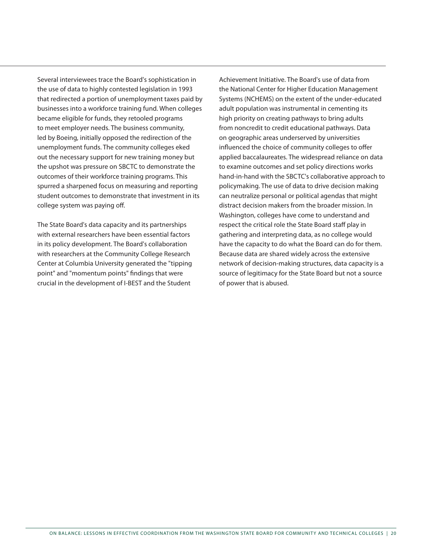Several interviewees trace the Board's sophistication in the use of data to highly contested legislation in 1993 that redirected a portion of unemployment taxes paid by businesses into a workforce training fund. When colleges became eligible for funds, they retooled programs to meet employer needs. The business community, led by Boeing, initially opposed the redirection of the unemployment funds. The community colleges eked out the necessary support for new training money but the upshot was pressure on SBCTC to demonstrate the outcomes of their workforce training programs. This spurred a sharpened focus on measuring and reporting student outcomes to demonstrate that investment in its college system was paying off.

The State Board's data capacity and its partnerships with external researchers have been essential factors in its policy development. The Board's collaboration with researchers at the Community College Research Center at Columbia University generated the "tipping point" and "momentum points" findings that were crucial in the development of I-BEST and the Student

Achievement Initiative. The Board's use of data from the National Center for Higher Education Management Systems (NCHEMS) on the extent of the under-educated adult population was instrumental in cementing its high priority on creating pathways to bring adults from noncredit to credit educational pathways. Data on geographic areas underserved by universities influenced the choice of community colleges to offer applied baccalaureates. The widespread reliance on data to examine outcomes and set policy directions works hand-in-hand with the SBCTC's collaborative approach to policymaking. The use of data to drive decision making can neutralize personal or political agendas that might distract decision makers from the broader mission. In Washington, colleges have come to understand and respect the critical role the State Board staff play in gathering and interpreting data, as no college would have the capacity to do what the Board can do for them. Because data are shared widely across the extensive network of decision-making structures, data capacity is a source of legitimacy for the State Board but not a source of power that is abused.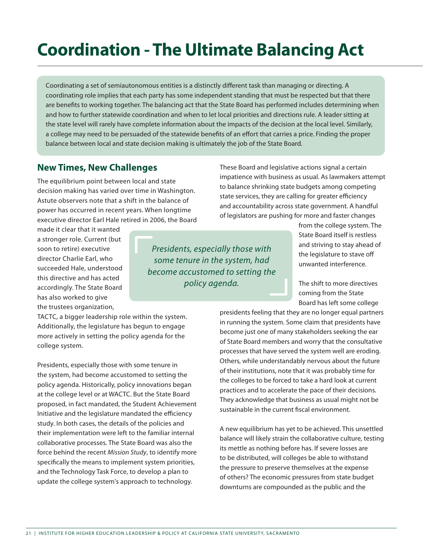# **Coordination - The Ultimate Balancing Act**

Coordinating a set of semiautonomous entities is a distinctly different task than managing or directing. A coordinating role implies that each party has some independent standing that must be respected but that there are benefits to working together. The balancing act that the State Board has performed includes determining when and how to further statewide coordination and when to let local priorities and directions rule. A leader sitting at the state level will rarely have complete information about the impacts of the decision at the local level. Similarly, a college may need to be persuaded of the statewide benefits of an effort that carries a price. Finding the proper balance between local and state decision making is ultimately the job of the State Board.

#### **New Times, New Challenges**

The equilibrium point between local and state decision making has varied over time in Washington. Astute observers note that a shift in the balance of power has occurred in recent years. When longtime executive director Earl Hale retired in 2006, the Board

made it clear that it wanted a stronger role. Current (but soon to retire) executive director Charlie Earl, who succeeded Hale, understood this directive and has acted accordingly. The State Board has also worked to give the trustees organization,

*Presidents, especially those with some tenure in the system, had become accustomed to setting the policy agenda.*

These Board and legislative actions signal a certain impatience with business as usual. As lawmakers attempt to balance shrinking state budgets among competing state services, they are calling for greater efficiency and accountability across state government. A handful of legislators are pushing for more and faster changes

> from the college system. The State Board itself is restless and striving to stay ahead of the legislature to stave off unwanted interference.

The shift to more directives coming from the State Board has left some college

presidents feeling that they are no longer equal partners in running the system. Some claim that presidents have become just one of many stakeholders seeking the ear of State Board members and worry that the consultative processes that have served the system well are eroding. Others, while understandably nervous about the future of their institutions, note that it was probably time for the colleges to be forced to take a hard look at current practices and to accelerate the pace of their decisions. They acknowledge that business as usual might not be sustainable in the current fiscal environment.

A new equilibrium has yet to be achieved. This unsettled balance will likely strain the collaborative culture, testing its mettle as nothing before has. If severe losses are to be distributed, will colleges be able to withstand the pressure to preserve themselves at the expense of others? The economic pressures from state budget downturns are compounded as the public and the

TACTC, a bigger leadership role within the system. Additionally, the legislature has begun to engage more actively in setting the policy agenda for the college system.

Presidents, especially those with some tenure in the system, had become accustomed to setting the policy agenda. Historically, policy innovations began at the college level or at WACTC. But the State Board proposed, in fact mandated, the Student Achievement Initiative and the legislature mandated the efficiency study. In both cases, the details of the policies and their implementation were left to the familiar internal collaborative processes. The State Board was also the force behind the recent *Mission Study*, to identify more specifically the means to implement system priorities, and the Technology Task Force, to develop a plan to update the college system's approach to technology.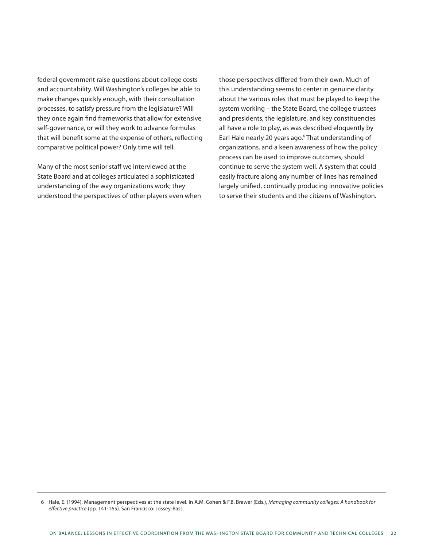federal government raise questions about college costs and accountability. Will Washington's colleges be able to make changes quickly enough, with their consultation processes, to satisfy pressure from the legislature? Will they once again find frameworks that allow for extensive self-governance, or will they work to advance formulas that will benefit some at the expense of others, reflecting comparative political power? Only time will tell.

Many of the most senior staff we interviewed at the State Board and at colleges articulated a sophisticated understanding of the way organizations work; they understood the perspectives of other players even when

those perspectives differed from their own. Much of this understanding seems to center in genuine clarity about the various roles that must be played to keep the system working – the State Board, the college trustees and presidents, the legislature, and key constituencies all have a role to play, as was described eloquently by Earl Hale nearly 20 years ago.<sup>6</sup> That understanding of organizations, and a keen awareness of how the policy process can be used to improve outcomes, should continue to serve the system well. A system that could easily fracture along any number of lines has remained largely unified, continually producing innovative policies to serve their students and the citizens of Washington.

<sup>6</sup> Hale, E. (1994). Management perspectives at the state level. In A.M. Cohen & F.B. Brawer (Eds.), *Managing community colleges: A handbook for effective practice* (pp. 141-165). San Francisco: Jossey-Bass.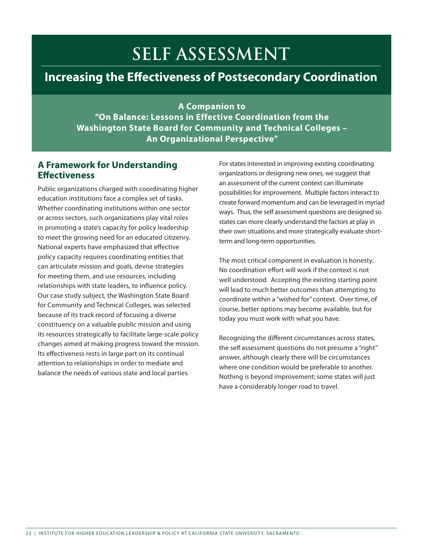# **Self Assessment**

## **Increasing the Effectiveness of Postsecondary Coordination**

**A Companion to "On Balance: Lessons in Effective Coordination from the Washington State Board for Community and Technical Colleges – An Organizational Perspective"**

### **A Framework for Understanding Effectiveness**

Public organizations charged with coordinating higher education institutions face a complex set of tasks. Whether coordinating institutions within one sector or across sectors, such organizations play vital roles in promoting a state's capacity for policy leadership to meet the growing need for an educated citizenry. National experts have emphasized that effective policy capacity requires coordinating entities that can articulate mission and goals, devise strategies for meeting them, and use resources, including relationships with state leaders, to influence policy. Our case study subject, the Washington State Board for Community and Technical Colleges, was selected because of its track record of focusing a diverse constituency on a valuable public mission and using its resources strategically to facilitate large-scale policy changes aimed at making progress toward the mission. Its effectiveness rests in large part on its continual attention to relationships in order to mediate and balance the needs of various state and local parties.

For states interested in improving existing coordinating organizations or designing new ones, we suggest that an assessment of the current context can illuminate possibilities for improvement. Multiple factors interact to create forward momentum and can be leveraged in myriad ways. Thus, the self assessment questions are designed so states can more clearly understand the factors at play in their own situations and more strategically evaluate shortterm and long-term opportunities.

The most critical component in evaluation is honesty. No coordination effort will work if the context is not well understood. Accepting the existing starting point will lead to much better outcomes than attempting to coordinate within a "wished for" context. Over time, of course, better options may become available, but for today you must work with what you have.

Recognizing the different circumstances across states, the self assessment questions do not presume a "right" answer, although clearly there will be circumstances where one condition would be preferable to another. Nothing is beyond improvement; some states will just have a considerably longer road to travel.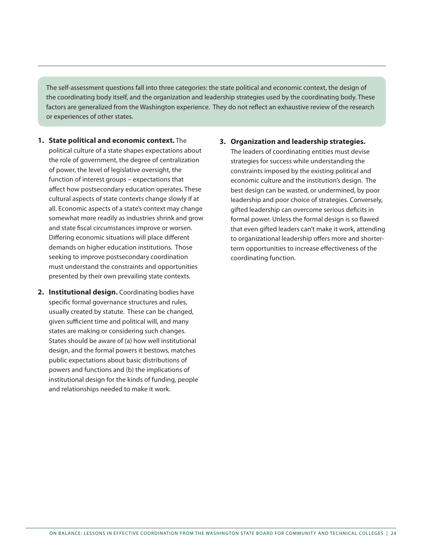The self-assessment questions fall into three categories: the state political and economic context, the design of the coordinating body itself, and the organization and leadership strategies used by the coordinating body. These factors are generalized from the Washington experience. They do not reflect an exhaustive review of the research or experiences of other states.

- **1. State political and economic context.** The political culture of a state shapes expectations about the role of government, the degree of centralization of power, the level of legislative oversight, the function of interest groups – expectations that affect how postsecondary education operates. These cultural aspects of state contexts change slowly if at all. Economic aspects of a state's context may change somewhat more readily as industries shrink and grow and state fiscal circumstances improve or worsen. Differing economic situations will place different demands on higher education institutions. Those seeking to improve postsecondary coordination must understand the constraints and opportunities presented by their own prevailing state contexts.
- **2. Institutional design.** Coordinating bodies have specific formal governance structures and rules, usually created by statute. These can be changed, given sufficient time and political will, and many states are making or considering such changes. States should be aware of (a) how well institutional design, and the formal powers it bestows, matches public expectations about basic distributions of powers and functions and (b) the implications of institutional design for the kinds of funding, people and relationships needed to make it work.

#### **3. Organization and leadership strategies.**

The leaders of coordinating entities must devise strategies for success while understanding the constraints imposed by the existing political and economic culture and the institution's design. The best design can be wasted, or undermined, by poor leadership and poor choice of strategies. Conversely, gifted leadership can overcome serious deficits in formal power. Unless the formal design is so flawed that even gifted leaders can't make it work, attending to organizational leadership offers more and shorterterm opportunities to increase effectiveness of the coordinating function.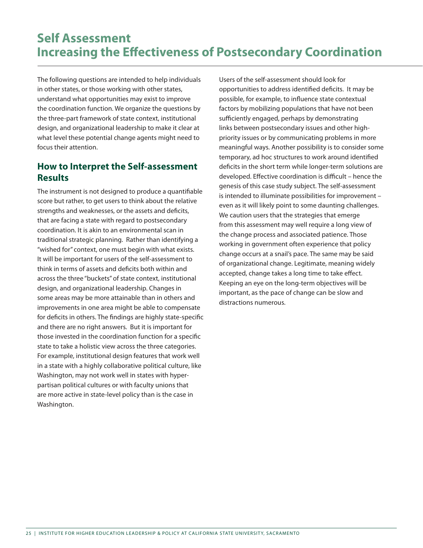## **Self Assessment Increasing the Effectiveness of Postsecondary Coordination**

The following questions are intended to help individuals in other states, or those working with other states, understand what opportunities may exist to improve the coordination function. We organize the questions by the three-part framework of state context, institutional design, and organizational leadership to make it clear at what level these potential change agents might need to focus their attention.

## **How to Interpret the Self-assessment Results**

The instrument is not designed to produce a quantifiable score but rather, to get users to think about the relative strengths and weaknesses, or the assets and deficits, that are facing a state with regard to postsecondary coordination. It is akin to an environmental scan in traditional strategic planning. Rather than identifying a "wished for" context, one must begin with what exists. It will be important for users of the self-assessment to think in terms of assets and deficits both within and across the three "buckets" of state context, institutional design, and organizational leadership. Changes in some areas may be more attainable than in others and improvements in one area might be able to compensate for deficits in others. The findings are highly state-specific and there are no right answers. But it is important for those invested in the coordination function for a specific state to take a holistic view across the three categories. For example, institutional design features that work well in a state with a highly collaborative political culture, like Washington, may not work well in states with hyperpartisan political cultures or with faculty unions that are more active in state-level policy than is the case in Washington.

Users of the self-assessment should look for opportunities to address identified deficits. It may be possible, for example, to influence state contextual factors by mobilizing populations that have not been sufficiently engaged, perhaps by demonstrating links between postsecondary issues and other highpriority issues or by communicating problems in more meaningful ways. Another possibility is to consider some temporary, ad hoc structures to work around identified deficits in the short term while longer-term solutions are developed. Effective coordination is difficult – hence the genesis of this case study subject. The self-assessment is intended to illuminate possibilities for improvement – even as it will likely point to some daunting challenges. We caution users that the strategies that emerge from this assessment may well require a long view of the change process and associated patience. Those working in government often experience that policy change occurs at a snail's pace. The same may be said of organizational change. Legitimate, meaning widely accepted, change takes a long time to take effect. Keeping an eye on the long-term objectives will be important, as the pace of change can be slow and distractions numerous.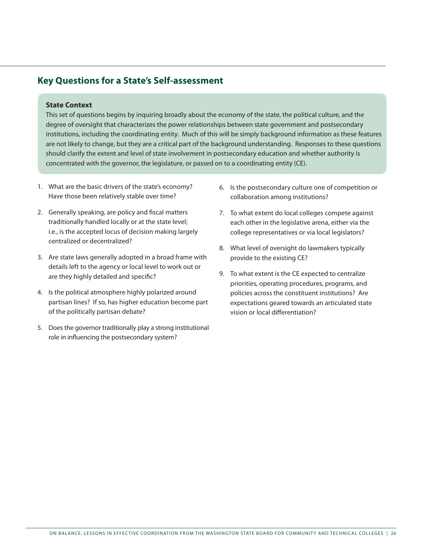## **Key Questions for a State's Self-assessment**

#### **State Context**

This set of questions begins by inquiring broadly about the economy of the state, the political culture, and the degree of oversight that characterizes the power relationships between state government and postsecondary institutions, including the coordinating entity. Much of this will be simply background information as these features are not likely to change, but they are a critical part of the background understanding. Responses to these questions should clarify the extent and level of state involvement in postsecondary education and whether authority is concentrated with the governor, the legislature, or passed on to a coordinating entity (CE).

- 1. What are the basic drivers of the state's economy? Have those been relatively stable over time?
- 2. Generally speaking, are policy and fiscal matters traditionally handled locally or at the state level; i.e., is the accepted locus of decision making largely centralized or decentralized?
- 3. Are state laws generally adopted in a broad frame with details left to the agency or local level to work out or are they highly detailed and specific?
- 4. Is the political atmosphere highly polarized around partisan lines? If so, has higher education become part of the politically partisan debate?
- 5. Does the governor traditionally play a strong institutional role in influencing the postsecondary system?
- 6. Is the postsecondary culture one of competition or collaboration among institutions?
- 7. To what extent do local colleges compete against each other in the legislative arena, either via the college representatives or via local legislators?
- 8. What level of oversight do lawmakers typically provide to the existing CE?
- 9. To what extent is the CE expected to centralize priorities, operating procedures, programs, and policies across the constituent institutions? Are expectations geared towards an articulated state vision or local differentiation?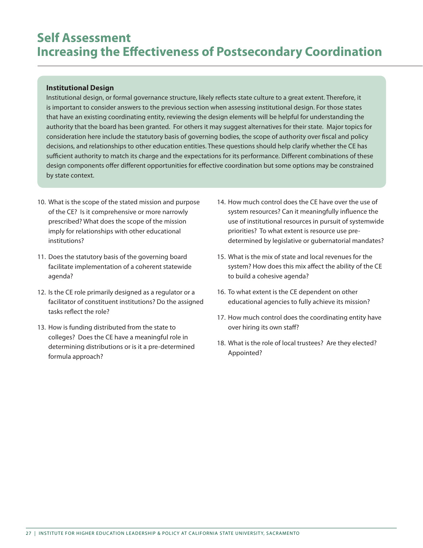## **Self Assessment Increasing the Effectiveness of Postsecondary Coordination**

#### **Institutional Design**

Institutional design, or formal governance structure, likely reflects state culture to a great extent. Therefore, it is important to consider answers to the previous section when assessing institutional design. For those states that have an existing coordinating entity, reviewing the design elements will be helpful for understanding the authority that the board has been granted. For others it may suggest alternatives for their state. Major topics for consideration here include the statutory basis of governing bodies, the scope of authority over fiscal and policy decisions, and relationships to other education entities. These questions should help clarify whether the CE has sufficient authority to match its charge and the expectations for its performance. Different combinations of these design components offer different opportunities for effective coordination but some options may be constrained by state context.

- 10. What is the scope of the stated mission and purpose of the CE? Is it comprehensive or more narrowly prescribed? What does the scope of the mission imply for relationships with other educational institutions?
- 11. Does the statutory basis of the governing board facilitate implementation of a coherent statewide agenda?
- 12. Is the CE role primarily designed as a regulator or a facilitator of constituent institutions? Do the assigned tasks reflect the role?
- 13. How is funding distributed from the state to colleges? Does the CE have a meaningful role in determining distributions or is it a pre-determined formula approach?
- 14. How much control does the CE have over the use of system resources? Can it meaningfully influence the use of institutional resources in pursuit of systemwide priorities? To what extent is resource use predetermined by legislative or gubernatorial mandates?
- 15. What is the mix of state and local revenues for the system? How does this mix affect the ability of the CE to build a cohesive agenda?
- 16. To what extent is the CE dependent on other educational agencies to fully achieve its mission?
- 17. How much control does the coordinating entity have over hiring its own staff?
- 18. What is the role of local trustees? Are they elected? Appointed?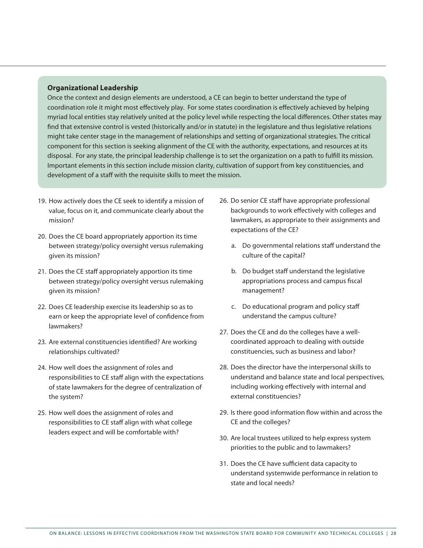#### **Organizational Leadership**

Once the context and design elements are understood, a CE can begin to better understand the type of coordination role it might most effectively play. For some states coordination is effectively achieved by helping myriad local entities stay relatively united at the policy level while respecting the local differences. Other states may find that extensive control is vested (historically and/or in statute) in the legislature and thus legislative relations might take center stage in the management of relationships and setting of organizational strategies. The critical component for this section is seeking alignment of the CE with the authority, expectations, and resources at its disposal. For any state, the principal leadership challenge is to set the organization on a path to fulfill its mission. Important elements in this section include mission clarity, cultivation of support from key constituencies, and development of a staff with the requisite skills to meet the mission.

- 19. How actively does the CE seek to identify a mission of value, focus on it, and communicate clearly about the mission?
- 20. Does the CE board appropriately apportion its time between strategy/policy oversight versus rulemaking given its mission?
- 21. Does the CE staff appropriately apportion its time between strategy/policy oversight versus rulemaking given its mission?
- 22. Does CE leadership exercise its leadership so as to earn or keep the appropriate level of confidence from lawmakers?
- 23. Are external constituencies identified? Are working relationships cultivated?
- 24. How well does the assignment of roles and responsibilities to CE staff align with the expectations of state lawmakers for the degree of centralization of the system?
- 25. How well does the assignment of roles and responsibilities to CE staff align with what college leaders expect and will be comfortable with?
- 26. Do senior CE staff have appropriate professional backgrounds to work effectively with colleges and lawmakers, as appropriate to their assignments and expectations of the CE?
	- a. Do governmental relations staff understand the culture of the capital?
	- b. Do budget staff understand the legislative appropriations process and campus fiscal management?
	- c. Do educational program and policy staff understand the campus culture?
- 27. Does the CE and do the colleges have a wellcoordinated approach to dealing with outside constituencies, such as business and labor?
- 28. Does the director have the interpersonal skills to understand and balance state and local perspectives, including working effectively with internal and external constituencies?
- 29. Is there good information flow within and across the CE and the colleges?
- 30. Are local trustees utilized to help express system priorities to the public and to lawmakers?
- 31. Does the CE have sufficient data capacity to understand systemwide performance in relation to state and local needs?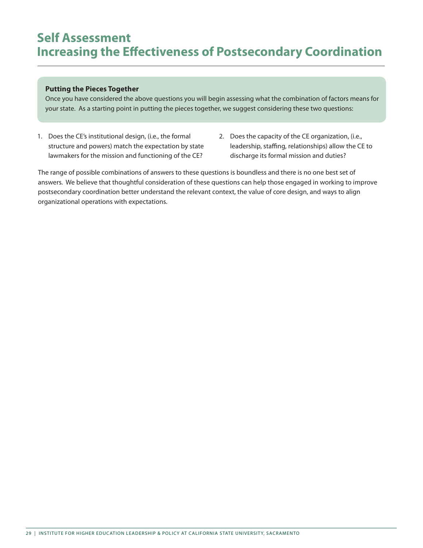## **Self Assessment Increasing the Effectiveness of Postsecondary Coordination**

#### **Putting the Pieces Together**

Once you have considered the above questions you will begin assessing what the combination of factors means for your state. As a starting point in putting the pieces together, we suggest considering these two questions:

- 1. Does the CE's institutional design, (i.e., the formal structure and powers) match the expectation by state lawmakers for the mission and functioning of the CE?
- 2. Does the capacity of the CE organization, (i.e., leadership, staffing, relationships) allow the CE to discharge its formal mission and duties?

The range of possible combinations of answers to these questions is boundless and there is no one best set of answers. We believe that thoughtful consideration of these questions can help those engaged in working to improve postsecondary coordination better understand the relevant context, the value of core design, and ways to align organizational operations with expectations.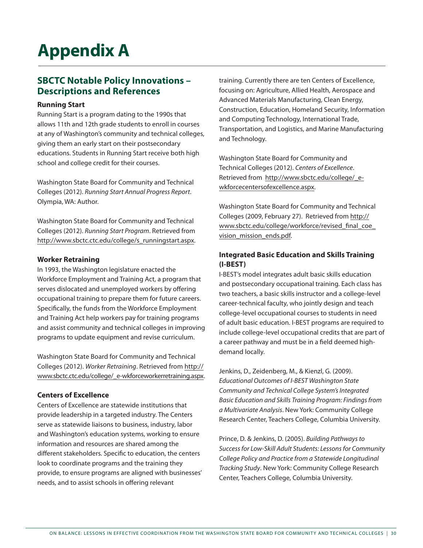# **Appendix A**

## **SBCTC Notable Policy Innovations – Descriptions and References**

#### **Running Start**

Running Start is a program dating to the 1990s that allows 11th and 12th grade students to enroll in courses at any of Washington's community and technical colleges, giving them an early start on their postsecondary educations. Students in Running Start receive both high school and college credit for their courses.

Washington State Board for Community and Technical Colleges (2012). *Running Start Annual Progress Report*. Olympia, WA: Author.

Washington State Board for Community and Technical Colleges (2012). *Running Start Program*. Retrieved from http://www.sbctc.ctc.edu/college/s\_runningstart.aspx.

#### **Worker Retraining**

In 1993, the Washington legislature enacted the Workforce Employment and Training Act, a program that serves dislocated and unemployed workers by offering occupational training to prepare them for future careers. Specifically, the funds from the Workforce Employment and Training Act help workers pay for training programs and assist community and technical colleges in improving programs to update equipment and revise curriculum.

Washington State Board for Community and Technical Colleges (2012). *Worker Retraining*. Retrieved from http:// www.sbctc.ctc.edu/college/\_e-wkforceworkerretraining.aspx.

#### **Centers of Excellence**

Centers of Excellence are statewide institutions that provide leadership in a targeted industry. The Centers serve as statewide liaisons to business, industry, labor and Washington's education systems, working to ensure information and resources are shared among the different stakeholders. Specific to education, the centers look to coordinate programs and the training they provide, to ensure programs are aligned with businesses' needs, and to assist schools in offering relevant

training. Currently there are ten Centers of Excellence, focusing on: Agriculture, Allied Health, Aerospace and Advanced Materials Manufacturing, Clean Energy, Construction, Education, Homeland Security, Information and Computing Technology, International Trade, Transportation, and Logistics, and Marine Manufacturing and Technology.

Washington State Board for Community and Technical Colleges (2012). *Centers of Excellence*. Retrieved from http://www.sbctc.edu/college/\_ewkforcecentersofexcellence.aspx.

Washington State Board for Community and Technical Colleges (2009, February 27). Retrieved from http:// www.sbctc.edu/college/workforce/revised\_final\_coe\_ vision\_mission\_ends.pdf.

#### **Integrated Basic Education and Skills Training (I-BEST)**

I-BEST's model integrates adult basic skills education and postsecondary occupational training. Each class has two teachers, a basic skills instructor and a college-level career-technical faculty, who jointly design and teach college-level occupational courses to students in need of adult basic education. I-BEST programs are required to include college-level occupational credits that are part of a career pathway and must be in a field deemed highdemand locally.

Jenkins, D., Zeidenberg, M., & Kienzl, G. (2009). *Educational Outcomes of I-BEST Washington State Community and Technical College System's Integrated Basic Education and Skills Training Program: Findings from a Multivariate Analysis*. New York: Community College Research Center, Teachers College, Columbia University.

Prince, D. & Jenkins, D. (2005). *Building Pathways to Success for Low-Skill Adult Students: Lessons for Community College Policy and Practice from a Statewide Longitudinal Tracking Study*. New York: Community College Research Center, Teachers College, Columbia University.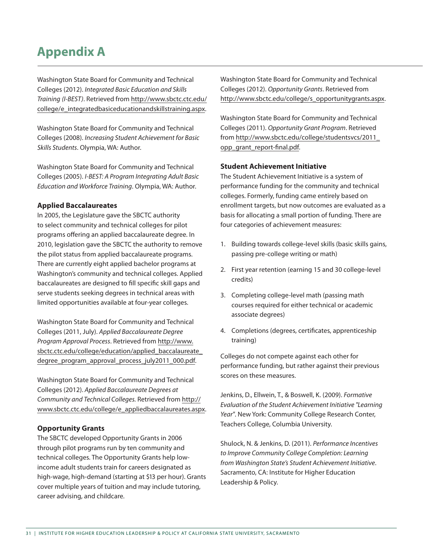## **Appendix A**

Washington State Board for Community and Technical Colleges (2012). *Integrated Basic Education and Skills Training (I-BEST)*. Retrieved from http://www.sbctc.ctc.edu/ college/e\_integratedbasiceducationandskillstraining.aspx.

Washington State Board for Community and Technical Colleges (2008). *Increasing Student Achievement for Basic Skills Students*. Olympia, WA: Author.

Washington State Board for Community and Technical Colleges (2005). *I-BEST: A Program Integrating Adult Basic Education and Workforce Training*. Olympia, WA: Author.

#### **Applied Baccalaureates**

In 2005, the Legislature gave the SBCTC authority to select community and technical colleges for pilot programs offering an applied baccalaureate degree. In 2010, legislation gave the SBCTC the authority to remove the pilot status from applied baccalaureate programs. There are currently eight applied bachelor programs at Washington's community and technical colleges. Applied baccalaureates are designed to fill specific skill gaps and serve students seeking degrees in technical areas with limited opportunities available at four-year colleges.

Washington State Board for Community and Technical Colleges (2011, July). *Applied Baccalaureate Degree Program Approval Process*. Retrieved from http://www. sbctc.ctc.edu/college/education/applied\_baccalaureate\_ degree\_program\_approval\_process\_july2011\_000.pdf.

Washington State Board for Community and Technical Colleges (2012). *Applied Baccalaureate Degrees at Community and Technical Colleges.* Retrieved from http:// www.sbctc.ctc.edu/college/e\_appliedbaccalaureates.aspx.

#### **Opportunity Grants**

The SBCTC developed Opportunity Grants in 2006 through pilot programs run by ten community and technical colleges. The Opportunity Grants help lowincome adult students train for careers designated as high-wage, high-demand (starting at \$13 per hour). Grants cover multiple years of tuition and may include tutoring, career advising, and childcare.

Washington State Board for Community and Technical Colleges (2012). *Opportunity Grants*. Retrieved from http://www.sbctc.edu/college/s\_opportunitygrants.aspx.

Washington State Board for Community and Technical Colleges (2011). *Opportunity Grant Program*. Retrieved from http://www.sbctc.edu/college/studentsvcs/2011\_ opp\_grant\_report-final.pdf.

#### **Student Achievement Initiative**

The Student Achievement Initiative is a system of performance funding for the community and technical colleges. Formerly, funding came entirely based on enrollment targets, but now outcomes are evaluated as a basis for allocating a small portion of funding. There are four categories of achievement measures:

- 1. Building towards college-level skills (basic skills gains, passing pre-college writing or math)
- 2. First year retention (earning 15 and 30 college-level credits)
- 3. Completing college-level math (passing math courses required for either technical or academic associate degrees)
- 4. Completions (degrees, certificates, apprenticeship training)

Colleges do not compete against each other for performance funding, but rather against their previous scores on these measures.

Jenkins, D., Ellwein, T., & Boswell, K. (2009). *Formative Evaluation of the Student Achievement Initiative "Learning Year"*. New York: Community College Research Conter, Teachers College, Columbia University.

Shulock, N. & Jenkins, D. (2011). *Performance Incentives to Improve Community College Completion: Learning from Washington State's Student Achievement Initiative*. Sacramento, CA: Institute for Higher Education Leadership & Policy.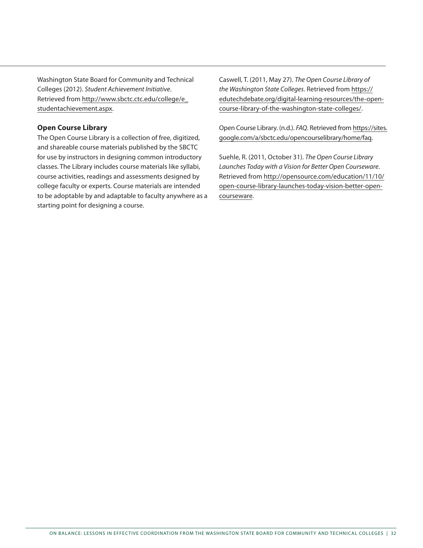Washington State Board for Community and Technical Colleges (2012). *Student Achievement Initiative*. Retrieved from http://www.sbctc.ctc.edu/college/e\_ studentachievement.aspx.

#### **Open Course Library**

The Open Course Library is a collection of free, digitized, and shareable course materials published by the SBCTC for use by instructors in designing common introductory classes. The Library includes course materials like syllabi, course activities, readings and assessments designed by college faculty or experts. Course materials are intended to be adoptable by and adaptable to faculty anywhere as a starting point for designing a course.

Caswell, T. (2011, May 27). *The Open Course Library of the Washington State Colleges*. Retrieved from https:// edutechdebate.org/digital-learning-resources/the-opencourse-library-of-the-washington-state-colleges/.

Open Course Library. (n.d.). *FAQ*. Retrieved from https://sites. google.com/a/sbctc.edu/opencourselibrary/home/faq.

Suehle, R. (2011, October 31). *The Open Course Library Launches Today with a Vision for Better Open Courseware*. Retrieved from http://opensource.com/education/11/10/ open-course-library-launches-today-vision-better-opencourseware.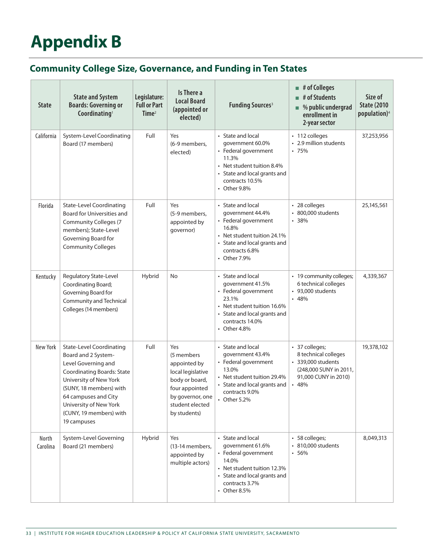# **Appendix B**

## **Community College Size, Governance, and Funding in Ten States**

| <b>State</b>      | <b>State and System</b><br><b>Boards: Governing or</b><br>Coordinating <sup>1</sup>                                                                                                                                                                                 | Legislature:<br><b>Full or Part</b><br>Time <sup>2</sup> | Is There a<br><b>Local Board</b><br>(appointed or<br>elected)                                                                                     | <b>Funding Sources<sup>3</sup></b>                                                                                                                                            | $\blacksquare$ # of Colleges<br># of Students<br>$\blacksquare$ % public undergrad<br>enrollment in<br>2-year sector   | Size of<br><b>State (2010)</b><br>population) <sup>4</sup> |
|-------------------|---------------------------------------------------------------------------------------------------------------------------------------------------------------------------------------------------------------------------------------------------------------------|----------------------------------------------------------|---------------------------------------------------------------------------------------------------------------------------------------------------|-------------------------------------------------------------------------------------------------------------------------------------------------------------------------------|------------------------------------------------------------------------------------------------------------------------|------------------------------------------------------------|
| California        | System-Level Coordinating<br>Board (17 members)                                                                                                                                                                                                                     | Full                                                     | Yes<br>(6-9 members,<br>elected)                                                                                                                  | • State and local<br>qovernment 60.0%<br>• Federal government<br>11.3%<br>• Net student tuition 8.4%<br>• State and local grants and<br>contracts 10.5%<br>• Other $9.8\%$    | • 112 colleges<br>• 2.9 million students<br>.75%                                                                       | 37,253,956                                                 |
| Florida           | <b>State-Level Coordinating</b><br>Board for Universities and<br><b>Community Colleges (7</b><br>members); State-Level<br>Governing Board for<br><b>Community Colleges</b>                                                                                          | Full                                                     | Yes<br>(5-9 members,<br>appointed by<br>governor)                                                                                                 | • State and local<br>government 44.4%<br>• Federal government<br>16.8%<br>• Net student tuition 24.1%<br>• State and local grants and<br>contracts 6.8%<br>• Other 7.9%       | • 28 colleges<br>• 800,000 students<br>.38%                                                                            | 25,145,561                                                 |
| Kentucky          | Regulatory State-Level<br>Coordinating Board;<br>Governing Board for<br>Community and Technical<br>Colleges (14 members)                                                                                                                                            | Hybrid                                                   | No                                                                                                                                                | • State and local<br>government 41.5%<br>• Federal government<br>23.1%<br>• Net student tuition 16.6%<br>• State and local grants and<br>contracts 14.0%<br>• Other 4.8%      | • 19 community colleges;<br>6 technical colleges<br>• 93,000 students<br>.48%                                          | 4,339,367                                                  |
| New York          | <b>State-Level Coordinating</b><br>Board and 2 System-<br>Level Governing and<br><b>Coordinating Boards: State</b><br>University of New York<br>(SUNY, 18 members) with<br>64 campuses and City<br>University of New York<br>(CUNY, 19 members) with<br>19 campuses | Full                                                     | Yes<br>(5 members<br>appointed by<br>local legislative<br>body or board,<br>four appointed<br>by governor, one<br>student elected<br>by students) | • State and local<br>government 43.4%<br>• Federal government<br>13.0%<br>• Net student tuition 29.4%<br>• State and local grants and<br>contracts 9.0%<br>• Other 5.2%       | • 37 colleges;<br>8 technical colleges<br>• 339,000 students<br>(248,000 SUNY in 2011,<br>91,000 CUNY in 2010)<br>.48% | 19,378,102                                                 |
| North<br>Carolina | System-Level Governing<br>Board (21 members)                                                                                                                                                                                                                        | Hybrid                                                   | Yes<br>(13-14 members,<br>appointed by<br>multiple actors)                                                                                        | • State and local<br>qovernment 61.6%<br>• Federal government<br>14.0%<br>• Net student tuition 12.3%<br>• State and local grants and<br>contracts 3.7%<br>$\cdot$ Other 8.5% | • 58 colleges;<br>• 810,000 students<br>$-56%$                                                                         | 8,049,313                                                  |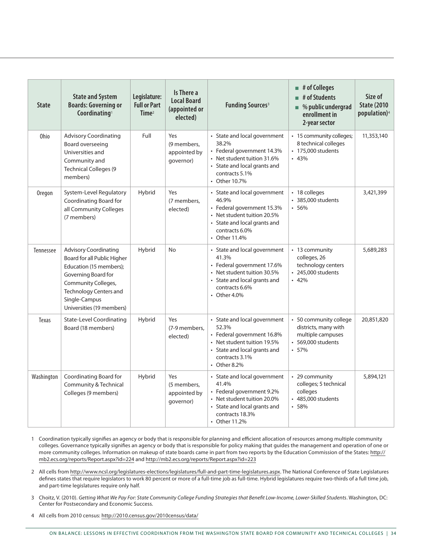| <b>State</b> | <b>State and System</b><br><b>Boards: Governing or</b><br>Coordinating <sup>1</sup>                                                                                                                          | Legislature:<br><b>Full or Part</b><br>Time <sup>2</sup> | Is There a<br><b>Local Board</b><br>(appointed or<br>elected) | <b>Funding Sources<sup>3</sup></b>                                                                                                                                      | $\blacksquare$ # of Colleges<br># of Students<br>$\blacksquare$ % public undergrad<br>enrollment in<br>2-year sector | Size of<br><b>State (2010)</b><br>population) <sup>4</sup> |
|--------------|--------------------------------------------------------------------------------------------------------------------------------------------------------------------------------------------------------------|----------------------------------------------------------|---------------------------------------------------------------|-------------------------------------------------------------------------------------------------------------------------------------------------------------------------|----------------------------------------------------------------------------------------------------------------------|------------------------------------------------------------|
| Ohio         | <b>Advisory Coordinating</b><br>Board overseeing<br>Universities and<br>Community and<br><b>Technical Colleges (9</b><br>members)                                                                            | Full                                                     | Yes<br>(9 members,<br>appointed by<br>governor)               | • State and local government<br>38.2%<br>• Federal government 14.3%<br>• Net student tuition 31.6%<br>• State and local grants and<br>contracts 5.1%<br>• Other 10.7%   | • 15 community colleges;<br>8 technical colleges<br>• 175,000 students<br>.43%                                       | 11,353,140                                                 |
| Oregon       | System-Level Regulatory<br>Coordinating Board for<br>all Community Colleges<br>(7 members)                                                                                                                   | Hybrid                                                   | Yes<br>(7 members,<br>elected)                                | • State and local government<br>46.9%<br>• Federal government 15.3%<br>• Net student tuition 20.5%<br>• State and local grants and<br>contracts 6.0%<br>• Other 11.4%   | • 18 colleges<br>• 385,000 students<br>.56%                                                                          | 3,421,399                                                  |
| Tennessee    | <b>Advisory Coordinating</b><br>Board for all Public Higher<br>Education (15 members);<br>Governing Board for<br>Community Colleges,<br>Technology Centers and<br>Single-Campus<br>Universities (19 members) | Hybrid                                                   | <b>No</b>                                                     | • State and local government<br>41.3%<br>• Federal government 17.6%<br>• Net student tuition 30.5%<br>• State and local grants and<br>contracts 6.6%<br>• Other $4.0\%$ | • 13 community<br>colleges, 26<br>technology centers<br>• 245,000 students<br>.42%                                   | 5,689,283                                                  |
| Texas        | <b>State-Level Coordinating</b><br>Board (18 members)                                                                                                                                                        | Hybrid                                                   | Yes<br>(7-9 members,<br>elected)                              | • State and local government<br>52.3%<br>• Federal government 16.8%<br>• Net student tuition 19.5%<br>• State and local grants and<br>contracts 3.1%<br>• Other 8.2%    | • 50 community college<br>districts, many with<br>multiple campuses<br>• 569,000 students<br>.57%                    | 20,851,820                                                 |
| Washington   | Coordinating Board for<br>Community & Technical<br>Colleges (9 members)                                                                                                                                      | Hybrid                                                   | Yes<br>(5 members,<br>appointed by<br>governor)               | • State and local government<br>41.4%<br>• Federal government 9.2%<br>• Net student tuition 20.0%<br>• State and local grants and<br>contracts 18.3%<br>• Other 11.2%   | • 29 community<br>colleges; 5 technical<br>colleges<br>• 485,000 students<br>.58%                                    | 5,894,121                                                  |

- 1 Coordination typically signifies an agency or body that is responsible for planning and efficient allocation of resources among multiple community colleges. Governance typically signifies an agency or body that is responsible for policy making that guides the management and operation of one or more community colleges. Information on makeup of state boards came in part from two reports by the Education Commission of the States: http:// mb2.ecs.org/reports/Report.aspx?id=224 and http://mb2.ecs.org/reports/Report.aspx?id=223
- 2 All cells from http://www.ncsl.org/legislatures-elections/legislatures/full-and-part-time-legislatures.aspx. The National Conference of State Legislatures defines states that require legislators to work 80 percent or more of a full-time job as full-time. Hybrid legislatures require two-thirds of a full time job, and part-time legislatures require only half.
- 3 Choitz, V. (2010). *Getting What We Pay For: State Community College Funding Strategies that Benefit Low-Income, Lower-Skilled Students*. Washington, DC: Center for Postsecondary and Economic Success.
- 4 All cells from 2010 census: http://2010.census.gov/2010census/data/